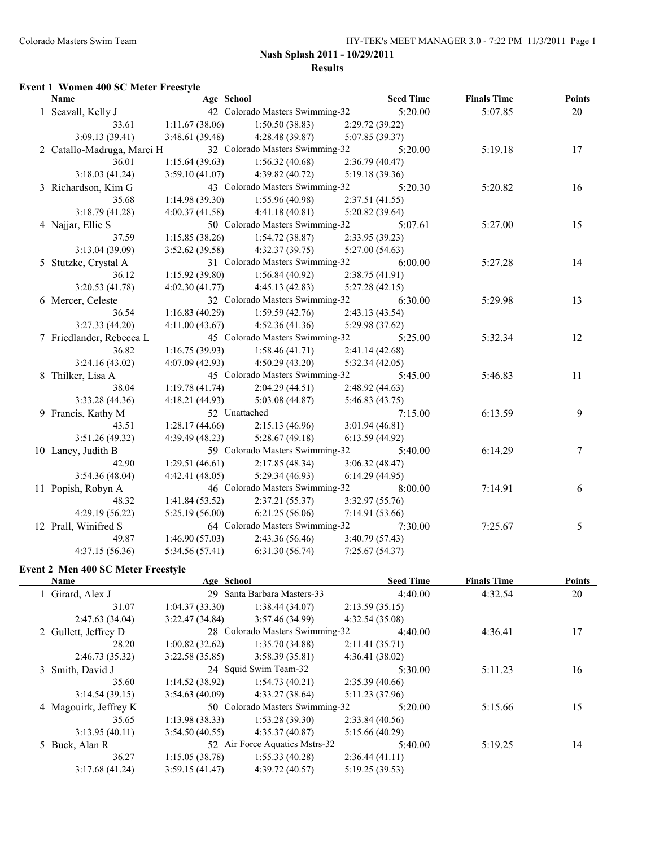$\overline{a}$ 

## **Nash Splash 2011 - 10/29/2011 Results**

#### **Event 1 Women 400 SC Meter Freestyle**

| <b>Name</b>                |                | Age School                      |                 | <b>Seed Time</b> | <b>Finals Time</b> | <b>Points</b> |
|----------------------------|----------------|---------------------------------|-----------------|------------------|--------------------|---------------|
| 1 Seavall, Kelly J         |                | 42 Colorado Masters Swimming-32 |                 | 5:20.00          | 5:07.85            | 20            |
| 33.61                      | 1:11.67(38.06) | 1:50.50(38.83)                  | 2:29.72 (39.22) |                  |                    |               |
| 3:09.13(39.41)             | 3:48.61(39.48) | 4:28.48 (39.87)                 | 5:07.85 (39.37) |                  |                    |               |
| 2 Catallo-Madruga, Marci H |                | 32 Colorado Masters Swimming-32 |                 | 5:20.00          | 5:19.18            | 17            |
| 36.01                      | 1:15.64(39.63) | 1:56.32(40.68)                  | 2:36.79(40.47)  |                  |                    |               |
| 3:18.03(41.24)             | 3:59.10(41.07) | 4:39.82 (40.72)                 | 5:19.18 (39.36) |                  |                    |               |
| 3 Richardson, Kim G        |                | 43 Colorado Masters Swimming-32 |                 | 5:20.30          | 5:20.82            | 16            |
| 35.68                      | 1:14.98(39.30) | 1:55.96(40.98)                  | 2:37.51(41.55)  |                  |                    |               |
| 3:18.79(41.28)             | 4:00.37(41.58) | 4:41.18(40.81)                  | 5:20.82(39.64)  |                  |                    |               |
| 4 Najjar, Ellie S          |                | 50 Colorado Masters Swimming-32 |                 | 5:07.61          | 5:27.00            | 15            |
| 37.59                      | 1:15.85(38.26) | 1:54.72(38.87)                  | 2:33.95(39.23)  |                  |                    |               |
| 3:13.04(39.09)             | 3:52.62(39.58) | 4:32.37(39.75)                  | 5:27.00(54.63)  |                  |                    |               |
| 5 Stutzke, Crystal A       |                | 31 Colorado Masters Swimming-32 |                 | 6:00.00          | 5:27.28            | 14            |
| 36.12                      | 1:15.92(39.80) | 1:56.84(40.92)                  | 2:38.75(41.91)  |                  |                    |               |
| 3:20.53(41.78)             | 4:02.30(41.77) | 4:45.13(42.83)                  | 5:27.28(42.15)  |                  |                    |               |
| 6 Mercer, Celeste          |                | 32 Colorado Masters Swimming-32 |                 | 6:30.00          | 5:29.98            | 13            |
| 36.54                      | 1:16.83(40.29) | 1:59.59(42.76)                  | 2:43.13(43.54)  |                  |                    |               |
| 3:27.33(44.20)             | 4:11.00(43.67) | 4:52.36(41.36)                  | 5:29.98 (37.62) |                  |                    |               |
| 7 Friedlander, Rebecca L   |                | 45 Colorado Masters Swimming-32 |                 | 5:25.00          | 5:32.34            | 12            |
| 36.82                      | 1:16.75(39.93) | 1:58.46(41.71)                  | 2:41.14(42.68)  |                  |                    |               |
| 3:24.16(43.02)             | 4:07.09(42.93) | 4:50.29(43.20)                  | 5:32.34(42.05)  |                  |                    |               |
| 8 Thilker, Lisa A          |                | 45 Colorado Masters Swimming-32 |                 | 5:45.00          | 5:46.83            | 11            |
| 38.04                      | 1:19.78(41.74) | 2:04.29(44.51)                  | 2:48.92(44.63)  |                  |                    |               |
| 3:33.28(44.36)             | 4:18.21(44.93) | 5:03.08(44.87)                  | 5:46.83(43.75)  |                  |                    |               |
| 9 Francis, Kathy M         |                | 52 Unattached                   |                 | 7:15.00          | 6:13.59            | 9             |
| 43.51                      | 1:28.17(44.66) | 2:15.13(46.96)                  | 3:01.94(46.81)  |                  |                    |               |
| 3:51.26(49.32)             | 4:39.49(48.23) | 5:28.67(49.18)                  | 6:13.59(44.92)  |                  |                    |               |
| 10 Laney, Judith B         |                | 59 Colorado Masters Swimming-32 |                 | 5:40.00          | 6:14.29            | 7             |
| 42.90                      | 1:29.51(46.61) | 2:17.85(48.34)                  | 3:06.32(48.47)  |                  |                    |               |
| 3:54.36(48.04)             | 4:42.41(48.05) | 5:29.34(46.93)                  | 6:14.29(44.95)  |                  |                    |               |
| 11 Popish, Robyn A         |                | 46 Colorado Masters Swimming-32 |                 | 8:00.00          | 7:14.91            | 6             |
| 48.32                      | 1:41.84(53.52) | 2:37.21(55.37)                  | 3:32.97(55.76)  |                  |                    |               |
| 4:29.19(56.22)             | 5:25.19(56.00) | 6:21.25(56.06)                  | 7:14.91 (53.66) |                  |                    |               |
| 12 Prall, Winifred S       |                | 64 Colorado Masters Swimming-32 |                 | 7:30.00          | 7:25.67            | 5             |
| 49.87                      | 1:46.90(57.03) | 2:43.36(56.46)                  | 3:40.79 (57.43) |                  |                    |               |
| 4:37.15(56.36)             | 5:34.56(57.41) | 6:31.30(56.74)                  | 7:25.67(54.37)  |                  |                    |               |

## **Event 2 Men 400 SC Meter Freestyle**

| <b>Name</b>           | Age School     |                                 | <b>Seed Time</b> | <b>Finals Time</b> | <b>Points</b> |
|-----------------------|----------------|---------------------------------|------------------|--------------------|---------------|
| 1 Girard, Alex J      | 29             | Santa Barbara Masters-33        | 4:40.00          | 4:32.54            | 20            |
| 31.07                 | 1:04.37(33.30) | 1:38.44(34.07)                  | 2:13.59(35.15)   |                    |               |
| 2:47.63(34.04)        | 3:22.47(34.84) | 3:57.46(34.99)                  | 4:32.54(35.08)   |                    |               |
| 2 Gullett, Jeffrey D  |                | 28 Colorado Masters Swimming-32 | 4:40.00          | 4:36.41            | 17            |
| 28.20                 | 1:00.82(32.62) | 1:35.70(34.88)                  | 2:11.41(35.71)   |                    |               |
| 2:46.73(35.32)        | 3:22.58(35.85) | 3:58.39(35.81)                  | 4:36.41(38.02)   |                    |               |
| 3 Smith, David J      |                | 24 Squid Swim Team-32           | 5:30.00          | 5:11.23            | 16            |
| 35.60                 | 1:14.52(38.92) | 1:54.73(40.21)                  | 2:35.39(40.66)   |                    |               |
| 3:14.54(39.15)        | 3:54.63(40.09) | 4:33.27(38.64)                  | 5:11.23 (37.96)  |                    |               |
| 4 Magouirk, Jeffrey K |                | 50 Colorado Masters Swimming-32 | 5:20.00          | 5:15.66            | 15            |
| 35.65                 | 1:13.98(38.33) | 1:53.28(39.30)                  | 2:33.84(40.56)   |                    |               |
| 3:13.95(40.11)        | 3:54.50(40.55) | 4:35.37(40.87)                  | 5:15.66(40.29)   |                    |               |
| 5 Buck, Alan R        |                | 52 Air Force Aquatics Mstrs-32  | 5:40.00          | 5:19.25            | 14            |
| 36.27                 | 1:15.05(38.78) | 1:55.33(40.28)                  | 2:36.44(41.11)   |                    |               |
| 3:17.68(41.24)        | 3:59.15(41.47) | 4:39.72 (40.57)                 | 5:19.25(39.53)   |                    |               |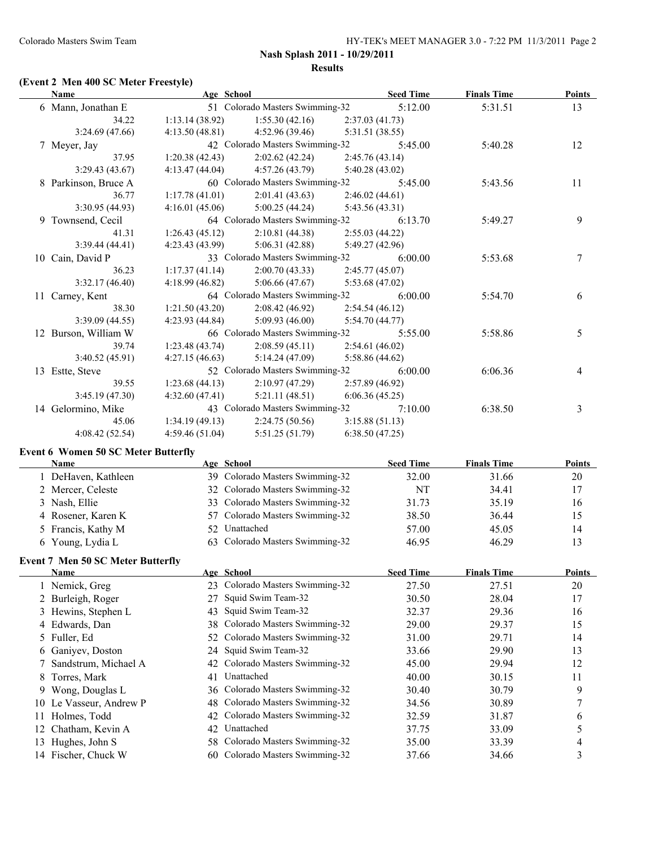## **(Event 2 Men 400 SC Meter Freestyle)**

| Name                 |                |                |                                                                                                                                                                  | <b>Seed Time</b>                                                                                                                                                                                                                                                                                                                         | <b>Finals Time</b>                                                                                                                                                                                                                                                                                                                                                                                                                                                                                                                                                                                                                                           | <b>Points</b> |
|----------------------|----------------|----------------|------------------------------------------------------------------------------------------------------------------------------------------------------------------|------------------------------------------------------------------------------------------------------------------------------------------------------------------------------------------------------------------------------------------------------------------------------------------------------------------------------------------|--------------------------------------------------------------------------------------------------------------------------------------------------------------------------------------------------------------------------------------------------------------------------------------------------------------------------------------------------------------------------------------------------------------------------------------------------------------------------------------------------------------------------------------------------------------------------------------------------------------------------------------------------------------|---------------|
| 6 Mann, Jonathan E   |                |                |                                                                                                                                                                  | 5:12.00                                                                                                                                                                                                                                                                                                                                  | 5:31.51                                                                                                                                                                                                                                                                                                                                                                                                                                                                                                                                                                                                                                                      | 13            |
| 34.22                | 1:13.14(38.92) |                |                                                                                                                                                                  |                                                                                                                                                                                                                                                                                                                                          |                                                                                                                                                                                                                                                                                                                                                                                                                                                                                                                                                                                                                                                              |               |
| 3:24.69(47.66)       | 4:13.50(48.81) |                |                                                                                                                                                                  |                                                                                                                                                                                                                                                                                                                                          |                                                                                                                                                                                                                                                                                                                                                                                                                                                                                                                                                                                                                                                              |               |
| 7 Meyer, Jay         |                |                |                                                                                                                                                                  | 5:45.00                                                                                                                                                                                                                                                                                                                                  | 5:40.28                                                                                                                                                                                                                                                                                                                                                                                                                                                                                                                                                                                                                                                      | 12            |
| 37.95                |                |                |                                                                                                                                                                  |                                                                                                                                                                                                                                                                                                                                          |                                                                                                                                                                                                                                                                                                                                                                                                                                                                                                                                                                                                                                                              |               |
| 3:29.43(43.67)       |                |                |                                                                                                                                                                  |                                                                                                                                                                                                                                                                                                                                          |                                                                                                                                                                                                                                                                                                                                                                                                                                                                                                                                                                                                                                                              |               |
| 8 Parkinson, Bruce A |                |                |                                                                                                                                                                  | 5:45.00                                                                                                                                                                                                                                                                                                                                  | 5:43.56                                                                                                                                                                                                                                                                                                                                                                                                                                                                                                                                                                                                                                                      | 11            |
| 36.77                | 1:17.78(41.01) |                |                                                                                                                                                                  |                                                                                                                                                                                                                                                                                                                                          |                                                                                                                                                                                                                                                                                                                                                                                                                                                                                                                                                                                                                                                              |               |
| 3:30.95(44.93)       |                |                |                                                                                                                                                                  |                                                                                                                                                                                                                                                                                                                                          |                                                                                                                                                                                                                                                                                                                                                                                                                                                                                                                                                                                                                                                              |               |
| 9 Townsend, Cecil    |                |                |                                                                                                                                                                  | 6:13.70                                                                                                                                                                                                                                                                                                                                  | 5:49.27                                                                                                                                                                                                                                                                                                                                                                                                                                                                                                                                                                                                                                                      | 9             |
| 41.31                | 1:26.43(45.12) |                |                                                                                                                                                                  |                                                                                                                                                                                                                                                                                                                                          |                                                                                                                                                                                                                                                                                                                                                                                                                                                                                                                                                                                                                                                              |               |
| 3:39.44(44.41)       |                |                |                                                                                                                                                                  |                                                                                                                                                                                                                                                                                                                                          |                                                                                                                                                                                                                                                                                                                                                                                                                                                                                                                                                                                                                                                              |               |
| 10 Cain, David P     |                |                |                                                                                                                                                                  | 6:00.00                                                                                                                                                                                                                                                                                                                                  | 5:53.68                                                                                                                                                                                                                                                                                                                                                                                                                                                                                                                                                                                                                                                      | 7             |
| 36.23                | 1:17.37(41.14) |                |                                                                                                                                                                  |                                                                                                                                                                                                                                                                                                                                          |                                                                                                                                                                                                                                                                                                                                                                                                                                                                                                                                                                                                                                                              |               |
| 3:32.17(46.40)       |                |                |                                                                                                                                                                  |                                                                                                                                                                                                                                                                                                                                          |                                                                                                                                                                                                                                                                                                                                                                                                                                                                                                                                                                                                                                                              |               |
| 11 Carney, Kent      |                |                |                                                                                                                                                                  | 6:00.00                                                                                                                                                                                                                                                                                                                                  | 5:54.70                                                                                                                                                                                                                                                                                                                                                                                                                                                                                                                                                                                                                                                      | 6             |
| 38.30                |                |                |                                                                                                                                                                  |                                                                                                                                                                                                                                                                                                                                          |                                                                                                                                                                                                                                                                                                                                                                                                                                                                                                                                                                                                                                                              |               |
| 3:39.09(44.55)       |                |                |                                                                                                                                                                  |                                                                                                                                                                                                                                                                                                                                          |                                                                                                                                                                                                                                                                                                                                                                                                                                                                                                                                                                                                                                                              |               |
| 12 Burson, William W |                |                |                                                                                                                                                                  | 5:55.00                                                                                                                                                                                                                                                                                                                                  | 5:58.86                                                                                                                                                                                                                                                                                                                                                                                                                                                                                                                                                                                                                                                      | 5             |
| 39.74                |                |                |                                                                                                                                                                  |                                                                                                                                                                                                                                                                                                                                          |                                                                                                                                                                                                                                                                                                                                                                                                                                                                                                                                                                                                                                                              |               |
| 3:40.52(45.91)       |                |                |                                                                                                                                                                  |                                                                                                                                                                                                                                                                                                                                          |                                                                                                                                                                                                                                                                                                                                                                                                                                                                                                                                                                                                                                                              |               |
| 13 Estte, Steve      |                |                |                                                                                                                                                                  | 6:00.00                                                                                                                                                                                                                                                                                                                                  | 6:06.36                                                                                                                                                                                                                                                                                                                                                                                                                                                                                                                                                                                                                                                      | 4             |
| 39.55                | 1:23.68(44.13) |                |                                                                                                                                                                  |                                                                                                                                                                                                                                                                                                                                          |                                                                                                                                                                                                                                                                                                                                                                                                                                                                                                                                                                                                                                                              |               |
| 3:45.19(47.30)       | 4:32.60(47.41) |                |                                                                                                                                                                  |                                                                                                                                                                                                                                                                                                                                          |                                                                                                                                                                                                                                                                                                                                                                                                                                                                                                                                                                                                                                                              |               |
| 14 Gelormino, Mike   |                |                |                                                                                                                                                                  | 7:10.00                                                                                                                                                                                                                                                                                                                                  | 6:38.50                                                                                                                                                                                                                                                                                                                                                                                                                                                                                                                                                                                                                                                      | 3             |
| 45.06                | 1:34.19(49.13) |                |                                                                                                                                                                  |                                                                                                                                                                                                                                                                                                                                          |                                                                                                                                                                                                                                                                                                                                                                                                                                                                                                                                                                                                                                                              |               |
| 4:08.42(52.54)       | 4:59.46(51.04) | 5:51.25(51.79) |                                                                                                                                                                  |                                                                                                                                                                                                                                                                                                                                          |                                                                                                                                                                                                                                                                                                                                                                                                                                                                                                                                                                                                                                                              |               |
|                      |                |                | 1:20.38(42.43)<br>4:13.47(44.04)<br>4:16.01(45.06)<br>4:23.43 (43.99)<br>4:18.99(46.82)<br>1:21.50(43.20)<br>4:23.93 (44.84)<br>1:23.48(43.74)<br>4:27.15(46.63) | Age School<br>1:55.30(42.16)<br>4:52.96 (39.46)<br>2:02.62 (42.24)<br>4:57.26 (43.79)<br>2:01.41 (43.63)<br>5:00.25 (44.24)<br>2:10.81 (44.38)<br>5:06.31 (42.88)<br>2:00.70(43.33)<br>5:06.66(47.67)<br>2:08.42 (46.92)<br>5:09.93 (46.00)<br>2:08.59(45.11)<br>5:14.24 (47.09)<br>2:10.97 (47.29)<br>5:21.11(48.51)<br>2:24.75 (50.56) | 51 Colorado Masters Swimming-32<br>2:37.03(41.73)<br>5:31.51 (38.55)<br>42 Colorado Masters Swimming-32<br>2:45.76(43.14)<br>5:40.28(43.02)<br>60 Colorado Masters Swimming-32<br>2:46.02(44.61)<br>5:43.56(43.31)<br>64 Colorado Masters Swimming-32<br>2:55.03(44.22)<br>5:49.27(42.96)<br>33 Colorado Masters Swimming-32<br>2:45.77(45.07)<br>5:53.68(47.02)<br>64 Colorado Masters Swimming-32<br>2:54.54(46.12)<br>5:54.70(44.77)<br>66 Colorado Masters Swimming-32<br>2:54.61(46.02)<br>5:58.86(44.62)<br>52 Colorado Masters Swimming-32<br>2:57.89(46.92)<br>6:06.36(45.25)<br>43 Colorado Masters Swimming-32<br>3:15.88(51.13)<br>6:38.50(47.25) |               |

#### **Event 6 Women 50 SC Meter Butterfly**

| Name               | Age School                      | <b>Seed Time</b> | <b>Finals Time</b> | <b>Points</b> |
|--------------------|---------------------------------|------------------|--------------------|---------------|
| DeHaven, Kathleen  | 39 Colorado Masters Swimming-32 | 32.00            | 31.66              | 20            |
| 2 Mercer, Celeste  | 32 Colorado Masters Swimming-32 | NT               | 34.41              | 17            |
| 3 Nash, Ellie      | 33 Colorado Masters Swimming-32 | 31.73            | 35.19              | 16            |
| 4 Rosener, Karen K | 57 Colorado Masters Swimming-32 | 38.50            | 36.44              | 15            |
| 5 Francis, Kathy M | 52 Unattached                   | 57.00            | 45.05              | 14            |
| 6 Young, Lydia L   | 63 Colorado Masters Swimming-32 | 46.95            | 46.29              | 13            |
|                    |                                 |                  |                    |               |

## **Event 7 Men 50 SC Meter Butterfly**

|    | Name                    |    | Age School                      | <b>Seed Time</b> | <b>Finals Time</b> | <b>Points</b> |
|----|-------------------------|----|---------------------------------|------------------|--------------------|---------------|
|    | 1 Nemick, Greg          |    | 23 Colorado Masters Swimming-32 | 27.50            | 27.51              | 20            |
|    | 2 Burleigh, Roger       | 27 | Squid Swim Team-32              | 30.50            | 28.04              | 17            |
|    | 3 Hewins, Stephen L     | 43 | Squid Swim Team-32              | 32.37            | 29.36              | 16            |
|    | 4 Edwards, Dan          |    | 38 Colorado Masters Swimming-32 | 29.00            | 29.37              | 15            |
|    | 5 Fuller, Ed            |    | 52 Colorado Masters Swimming-32 | 31.00            | 29.71              | 14            |
|    | 6 Ganiyev, Doston       |    | 24 Squid Swim Team-32           | 33.66            | 29.90              | 13            |
|    | 7 Sandstrum, Michael A  |    | 42 Colorado Masters Swimming-32 | 45.00            | 29.94              | 12            |
|    | 8 Torres, Mark          | 41 | Unattached                      | 40.00            | 30.15              | 11            |
| 9. | Wong, Douglas L         |    | 36 Colorado Masters Swimming-32 | 30.40            | 30.79              | 9             |
|    | 10 Le Vasseur, Andrew P |    | 48 Colorado Masters Swimming-32 | 34.56            | 30.89              |               |
|    | 11 Holmes, Todd         |    | 42 Colorado Masters Swimming-32 | 32.59            | 31.87              | 6             |
|    | 12 Chatham, Kevin A     | 42 | Unattached                      | 37.75            | 33.09              |               |
|    | 13 Hughes, John S       |    | 58 Colorado Masters Swimming-32 | 35.00            | 33.39              | 4             |
|    | 14 Fischer, Chuck W     | 60 | Colorado Masters Swimming-32    | 37.66            | 34.66              | 3             |
|    |                         |    |                                 |                  |                    |               |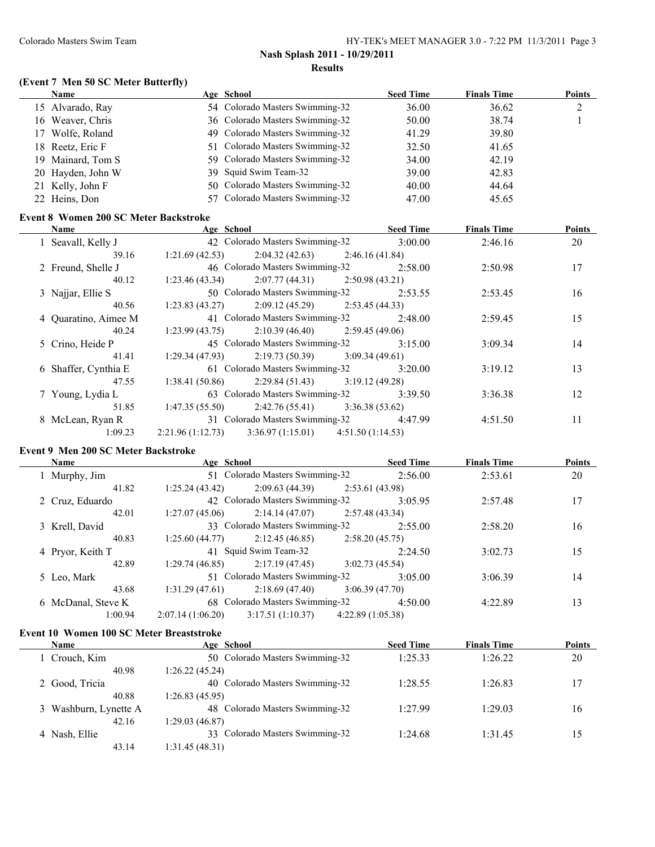## **(Event 7 Men 50 SC Meter Butterfly)**

| Name              | Age School                      | <b>Seed Time</b> | <b>Finals Time</b> | <b>Points</b> |
|-------------------|---------------------------------|------------------|--------------------|---------------|
| 15 Alvarado, Ray  | 54 Colorado Masters Swimming-32 | 36.00            | 36.62              | C             |
| 16 Weaver, Chris  | 36 Colorado Masters Swimming-32 | 50.00            | 38.74              |               |
| 17 Wolfe, Roland  | 49 Colorado Masters Swimming-32 | 41.29            | 39.80              |               |
| 18 Reetz, Eric F  | 51 Colorado Masters Swimming-32 | 32.50            | 41.65              |               |
| 19 Mainard, Tom S | 59 Colorado Masters Swimming-32 | 34.00            | 42.19              |               |
| 20 Hayden, John W | 39 Squid Swim Team-32           | 39.00            | 42.83              |               |
| 21 Kelly, John F  | 50 Colorado Masters Swimming-32 | 40.00            | 44.64              |               |
| 22 Heins, Don     | 57 Colorado Masters Swimming-32 | 47.00            | 45.65              |               |

# **Event 8 Women 200 SC Meter Backstroke**

| <b>Name</b>          | Age School     |                                                    |                  | <b>Seed Time</b> | <b>Finals Time</b> | <b>Points</b> |
|----------------------|----------------|----------------------------------------------------|------------------|------------------|--------------------|---------------|
| 1 Seavall, Kelly J   |                | 42 Colorado Masters Swimming-32 3:00.00            |                  |                  | 2:46.16            | 20            |
| 39.16                | 1:21.69(42.53) | $2:04.32(42.63)$ $2:46.16(41.84)$                  |                  |                  |                    |               |
| 2 Freund, Shelle J   |                | 46 Colorado Masters Swimming-32                    |                  | 2:58.00          | 2:50.98            | 17            |
| 40.12                |                | $1:23.46(43.34)$ $2:07.77(44.31)$ $2:50.98(43.21)$ |                  |                  |                    |               |
| 3 Najjar, Ellie S    |                | 50 Colorado Masters Swimming-32                    |                  | 2:53.55          | 2:53.45            | 16            |
| 40.56                |                | $1:23.83(43.27)$ $2:09.12(45.29)$ $2:53.45(44.33)$ |                  |                  |                    |               |
| 4 Quaratino, Aimee M |                | 41 Colorado Masters Swimming-32                    |                  | 2:48.00          | 2:59.45            | 15            |
| 40.24                |                | $1:23.99(43.75)$ $2:10.39(46.40)$ $2:59.45(49.06)$ |                  |                  |                    |               |
| 5 Crino, Heide P     |                | 45 Colorado Masters Swimming-32                    |                  | 3:15.00          | 3:09.34            | 14            |
| 41.41                |                | $1:29.34(47.93)$ $2:19.73(50.39)$ $3:09.34(49.61)$ |                  |                  |                    |               |
| 6 Shaffer, Cynthia E |                | 61 Colorado Masters Swimming-32                    |                  | 3:20.00          | 3:19.12            | 13            |
| 47.55                |                | $1:38.41(50.86)$ $2:29.84(51.43)$ $3:19.12(49.28)$ |                  |                  |                    |               |
| 7 Young, Lydia L     |                | 63 Colorado Masters Swimming-32 3:39.50            |                  |                  | 3:36.38            | 12            |
| 51.85                |                | $1:47.35(55.50)$ $2:42.76(55.41)$ $3:36.38(53.62)$ |                  |                  |                    |               |
| 8 McLean, Ryan R     |                | 31 Colorado Masters Swimming-32 4:47.99            |                  |                  | 4:51.50            | 11            |
| 1:09.23              |                | $2:21.96(1:12.73)$ $3:36.97(1:15.01)$              | 4:51.50(1:14.53) |                  |                    |               |

#### **Event 9 Men 200 SC Meter Backstroke**

| <b>Name</b>        | Age School       |                                 |                  | <b>Seed Time</b> | <b>Finals Time</b> | <b>Points</b> |
|--------------------|------------------|---------------------------------|------------------|------------------|--------------------|---------------|
| 1 Murphy, Jim      |                  | 51 Colorado Masters Swimming-32 |                  | 2:56.00          | 2:53.61            | 20            |
| 41.82              | 1:25.24(43.42)   | 2:09.63(44.39)                  | 2:53.61(43.98)   |                  |                    |               |
| 2 Cruz, Eduardo    |                  | 42 Colorado Masters Swimming-32 |                  | 3:05.95          | 2:57.48            | 17            |
| 42.01              | 1:27.07(45.06)   | 2:14.14(47.07)                  | 2:57.48(43.34)   |                  |                    |               |
| 3 Krell, David     |                  | 33 Colorado Masters Swimming-32 |                  | 2:55.00          | 2:58.20            | 16            |
| 40.83              | 1:25.60(44.77)   | 2:12.45(46.85)                  | 2:58.20(45.75)   |                  |                    |               |
| 4 Pryor, Keith T   |                  | 41 Squid Swim Team-32           |                  | 2:24.50          | 3:02.73            | 15            |
| 42.89              | 1:29.74(46.85)   | 2:17.19(47.45)                  | 3:02.73(45.54)   |                  |                    |               |
| 5 Leo, Mark        |                  | 51 Colorado Masters Swimming-32 |                  | 3:05.00          | 3:06.39            | 14            |
| 43.68              | 1:31.29(47.61)   | 2:18.69(47.40)                  | 3:06.39(47.70)   |                  |                    |               |
| 6 McDanal, Steve K |                  | 68 Colorado Masters Swimming-32 |                  | 4:50.00          | 4:22.89            | 13            |
| 1:00.94            | 2:07.14(1:06.20) | 3:17.51(1:10.37)                | 4:22.89(1:05.38) |                  |                    |               |
|                    |                  |                                 |                  |                  |                    |               |

#### **Event 10 Women 100 SC Meter Breaststroke**

 $\overline{\phantom{a}}$ 

| <b>Name</b>           | Age School                      | <b>Seed Time</b> | <b>Finals Time</b> | <b>Points</b> |
|-----------------------|---------------------------------|------------------|--------------------|---------------|
| 1 Crouch, Kim         | 50 Colorado Masters Swimming-32 | 1:25.33          | 1:26.22            | 20            |
| 40.98                 | 1:26.22(45.24)                  |                  |                    |               |
| 2 Good, Tricia        | 40 Colorado Masters Swimming-32 | 1:28.55          | 1:26.83            | 17            |
| 40.88                 | 1:26.83(45.95)                  |                  |                    |               |
| 3 Washburn, Lynette A | 48 Colorado Masters Swimming-32 | 1:27.99          | 1:29.03            | 16            |
| 42.16                 | 1:29.03(46.87)                  |                  |                    |               |
| 4 Nash, Ellie         | 33 Colorado Masters Swimming-32 | 1:24.68          | 1:31.45            | 15            |
| 43.14                 | 1:31.45(48.31)                  |                  |                    |               |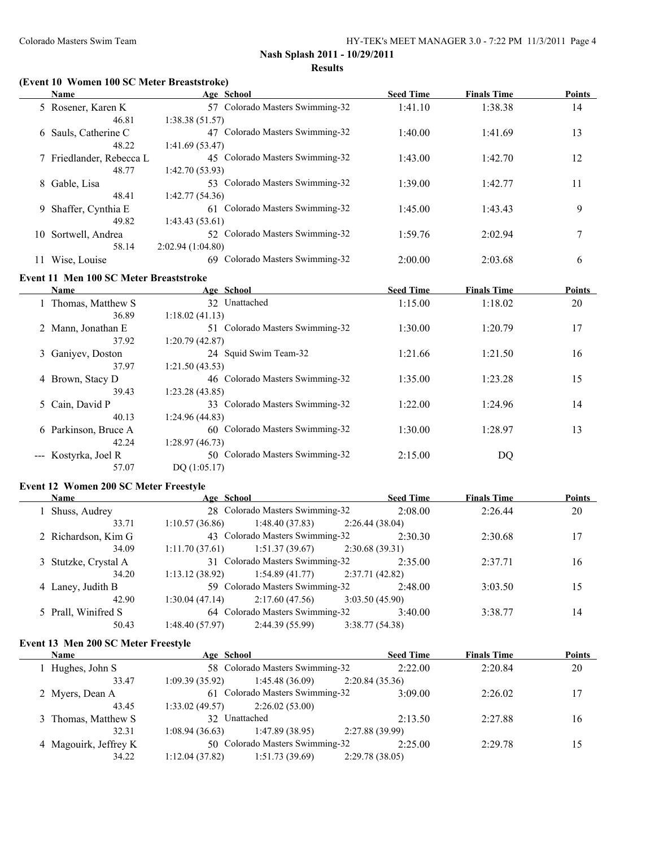#### **(Event 10 Women 100 SC Meter Breaststroke)**

|     | Name                     | Age School                         | <b>Seed Time</b> | <b>Finals Time</b> | <b>Points</b> |
|-----|--------------------------|------------------------------------|------------------|--------------------|---------------|
|     | 5 Rosener, Karen K       | 57 Colorado Masters Swimming-32    | 1:41.10          | 1:38.38            | 14            |
|     | 46.81                    | 1:38.38(51.57)                     |                  |                    |               |
|     | 6 Sauls, Catherine C     | 47 Colorado Masters Swimming-32    | 1:40.00          | 1:41.69            | 13            |
|     | 48.22                    | 1:41.69(53.47)                     |                  |                    |               |
|     | 7 Friedlander, Rebecca L | 45 Colorado Masters Swimming-32    | 1:43.00          | 1:42.70            | 12            |
|     | 48.77                    | 1:42.70(53.93)                     |                  |                    |               |
|     | 8 Gable, Lisa            | 53 Colorado Masters Swimming-32    | 1:39.00          | 1:42.77            | 11            |
|     | 48.41                    | 1:42.77(54.36)                     |                  |                    |               |
|     | 9 Shaffer, Cynthia E     | 61 Colorado Masters Swimming-32    | 1:45.00          | 1:43.43            | 9             |
|     | 49.82                    | 1:43.43(53.61)                     |                  |                    |               |
| 10. | Sortwell, Andrea         | 52 Colorado Masters Swimming-32    | 1:59.76          | 2:02.94            | 7             |
|     | 58.14                    | 2:02.94(1:04.80)                   |                  |                    |               |
|     | Wise, Louise             | Colorado Masters Swimming-32<br>69 | 2:00.00          | 2:03.68            | 6             |
|     |                          |                                    |                  |                    |               |

# **Event 11 Men 100 SC Meter Breaststroke**

| <b>Name</b>          |                | Age School                      | <b>Seed Time</b> | <b>Finals Time</b> | <b>Points</b> |
|----------------------|----------------|---------------------------------|------------------|--------------------|---------------|
| 1 Thomas, Matthew S  |                | 32 Unattached                   | 1:15.00          | 1:18.02            | 20            |
| 36.89                | 1:18.02(41.13) |                                 |                  |                    |               |
| 2 Mann, Jonathan E   |                | 51 Colorado Masters Swimming-32 | 1:30.00          | 1:20.79            | 17            |
| 37.92                | 1:20.79(42.87) |                                 |                  |                    |               |
| 3 Ganiyev, Doston    |                | 24 Squid Swim Team-32           | 1:21.66          | 1:21.50            | 16            |
| 37.97                | 1:21.50(43.53) |                                 |                  |                    |               |
| 4 Brown, Stacy D     |                | 46 Colorado Masters Swimming-32 | 1:35.00          | 1:23.28            | 15            |
| 39.43                | 1:23.28(43.85) |                                 |                  |                    |               |
| 5 Cain, David P      |                | 33 Colorado Masters Swimming-32 | 1:22.00          | 1:24.96            | 14            |
| 40.13                | 1:24.96(44.83) |                                 |                  |                    |               |
| 6 Parkinson, Bruce A |                | 60 Colorado Masters Swimming-32 | 1:30.00          | 1:28.97            | 13            |
| 42.24                | 1:28.97(46.73) |                                 |                  |                    |               |
| --- Kostyrka, Joel R |                | 50 Colorado Masters Swimming-32 | 2:15.00          | DQ                 |               |
| 57.07                | DO(1:05.17)    |                                 |                  |                    |               |

#### **Event 12 Women 200 SC Meter Freestyle**

|                      |                |                |            | <b>Seed Time</b>                                                                                                                                                                                                 | <b>Finals Time</b>                                                                                        | <b>Points</b> |
|----------------------|----------------|----------------|------------|------------------------------------------------------------------------------------------------------------------------------------------------------------------------------------------------------------------|-----------------------------------------------------------------------------------------------------------|---------------|
| 1 Shuss, Audrey      |                |                |            | 2:08.00                                                                                                                                                                                                          | 2:26.44                                                                                                   | 20            |
| 33.71                | 1:10.57(36.86) |                |            |                                                                                                                                                                                                                  |                                                                                                           |               |
| 2 Richardson, Kim G  |                |                |            | 2:30.30                                                                                                                                                                                                          | 2:30.68                                                                                                   | 17            |
| 34.09                | 1:11.70(37.61) |                |            |                                                                                                                                                                                                                  |                                                                                                           |               |
| 3 Stutzke, Crystal A |                |                |            | 2:35.00                                                                                                                                                                                                          | 2:37.71                                                                                                   | 16            |
| 34.20                | 1:13.12(38.92) |                |            |                                                                                                                                                                                                                  |                                                                                                           |               |
| 4 Laney, Judith B    |                |                |            | 2:48.00                                                                                                                                                                                                          | 3:03.50                                                                                                   | 15            |
| 42.90                | 1:30.04(47.14) | 2:17.60(47.56) |            |                                                                                                                                                                                                                  |                                                                                                           |               |
| 5 Prall, Winifred S  |                |                |            | 3:40.00                                                                                                                                                                                                          | 3:38.77                                                                                                   | 14            |
| 50.43                | 1:48.40(57.97) | 2:44.39(55.99) |            |                                                                                                                                                                                                                  |                                                                                                           |               |
|                      |                |                | Age School | 28 Colorado Masters Swimming-32<br>1:48.40 (37.83)<br>43 Colorado Masters Swimming-32<br>1:51.37(39.67)<br>31 Colorado Masters Swimming-32<br>59 Colorado Masters Swimming-32<br>64 Colorado Masters Swimming-32 | 2:26.44(38.04)<br>2:30.68(39.31)<br>$1:54.89(41.77)$ $2:37.71(42.82)$<br>3:03.50(45.90)<br>3:38.77(54.38) |               |

## **Event 13 Men 200 SC Meter Freestyle**

| <b>Name</b>           | Age School     |                                 |                 | <b>Seed Time</b> | <b>Finals Time</b> | <b>Points</b> |
|-----------------------|----------------|---------------------------------|-----------------|------------------|--------------------|---------------|
| 1 Hughes, John S      |                | 58 Colorado Masters Swimming-32 |                 | 2:22.00          | 2:20.84            | 20            |
| 33.47                 | 1:09.39(35.92) | 1:45.48 (36.09)                 | 2:20.84 (35.36) |                  |                    |               |
| 2 Myers, Dean A       |                | 61 Colorado Masters Swimming-32 |                 | 3:09.00          | 2:26.02            | 17            |
| 43.45                 | 1:33.02(49.57) | 2:26.02(53.00)                  |                 |                  |                    |               |
| 3 Thomas, Matthew S   | 32 Unattached  |                                 |                 | 2:13.50          | 2:27.88            | 16            |
| 32.31                 | 1:08.94(36.63) | 1:47.89(38.95)                  | 2:27.88(39.99)  |                  |                    |               |
| 4 Magouirk, Jeffrey K |                | 50 Colorado Masters Swimming-32 |                 | 2.2500           | 2:29.78            | 15            |
| 34.22                 | 1:12.04(37.82) | 1:51.73(39.69)                  | 2:29.78(38.05)  |                  |                    |               |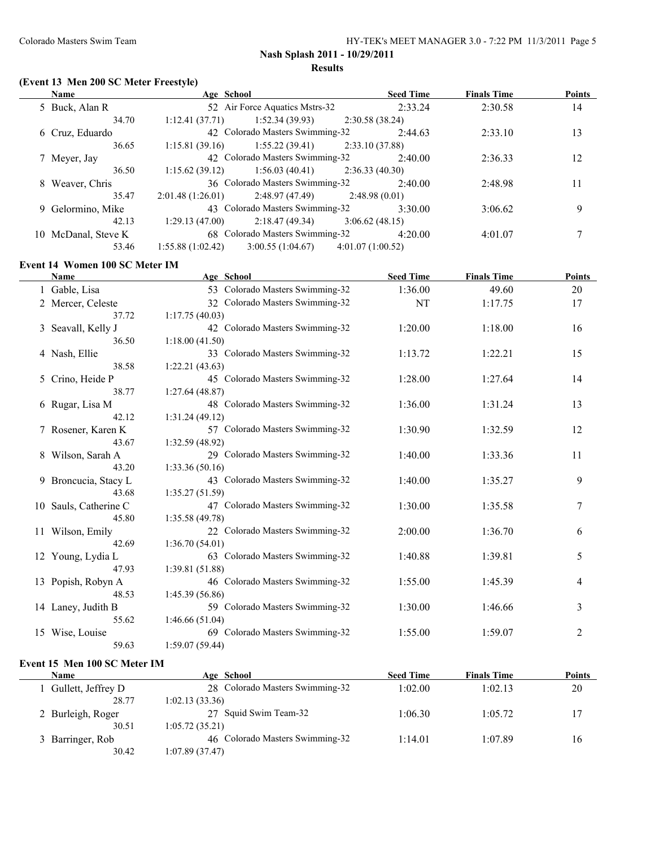# **(Event 13 Men 200 SC Meter Freestyle)**

| Name                   | Age School       |                                 |                  | <b>Seed Time</b> | <b>Finals Time</b> | <b>Points</b> |
|------------------------|------------------|---------------------------------|------------------|------------------|--------------------|---------------|
| 5 Buck, Alan R         |                  | 52 Air Force Aquatics Mstrs-32  |                  | 2:33.24          | 2:30.58            | 14            |
| 34.70                  | 1:12.41(37.71)   | 1:52.34(39.93)                  | 2:30.58(38.24)   |                  |                    |               |
| 6 Cruz, Eduardo        |                  | 42 Colorado Masters Swimming-32 |                  | 2:44.63          | 2:33.10            | 13            |
| 36.65                  | 1:15.81(39.16)   | 1:55.22(39.41)                  | 2:33.10(37.88)   |                  |                    |               |
| 7 Meyer, Jay           |                  | 42 Colorado Masters Swimming-32 |                  | 2:40.00          | 2:36.33            | 12            |
| 36.50                  | 1:15.62(39.12)   | 1:56.03(40.41)                  | 2:36.33(40.30)   |                  |                    |               |
| 8 Weaver, Chris        |                  | 36 Colorado Masters Swimming-32 |                  | 2:40.00          | 2:48.98            | 11            |
| 35.47                  | 2:01.48(1:26.01) | 2:48.97 (47.49)                 |                  | 2:48.98(0.01)    |                    |               |
| 9 Gelormino, Mike      |                  | 43 Colorado Masters Swimming-32 |                  | 3:30.00          | 3:06.62            | 9             |
| 42.13                  | 1:29.13(47.00)   | 2:18.47(49.34)                  | 3:06.62(48.15)   |                  |                    |               |
| McDanal, Steve K<br>10 |                  | 68 Colorado Masters Swimming-32 |                  | 4:20.00          | 4:01.07            |               |
| 53.46                  | 1:55.88(1:02.42) | 3:00.55(1:04.67)                | 4:01.07(1:00.52) |                  |                    |               |
|                        |                  |                                 |                  |                  |                    |               |

## **Event 14 Women 100 SC Meter IM**

| Name                  | Age School                      | <b>Seed Time</b> | <b>Finals Time</b> | <b>Points</b>  |
|-----------------------|---------------------------------|------------------|--------------------|----------------|
| 1 Gable, Lisa         | 53 Colorado Masters Swimming-32 | 1:36.00          | 49.60              | 20             |
| 2 Mercer, Celeste     | 32 Colorado Masters Swimming-32 | NT               | 1:17.75            | 17             |
| 37.72                 | 1:17.75(40.03)                  |                  |                    |                |
| 3 Seavall, Kelly J    | 42 Colorado Masters Swimming-32 | 1:20.00          | 1:18.00            | 16             |
| 36.50                 | 1:18.00(41.50)                  |                  |                    |                |
| 4 Nash, Ellie         | 33 Colorado Masters Swimming-32 | 1:13.72          | 1:22.21            | 15             |
| 38.58                 | 1:22.21(43.63)                  |                  |                    |                |
| 5 Crino, Heide P      | 45 Colorado Masters Swimming-32 | 1:28.00          | 1:27.64            | 14             |
| 38.77                 | 1:27.64(48.87)                  |                  |                    |                |
| 6 Rugar, Lisa M       | 48 Colorado Masters Swimming-32 | 1:36.00          | 1:31.24            | 13             |
| 42.12                 | 1:31.24(49.12)                  |                  |                    |                |
| 7 Rosener, Karen K    | 57 Colorado Masters Swimming-32 | 1:30.90          | 1:32.59            | 12             |
| 43.67                 | 1:32.59(48.92)                  |                  |                    |                |
| 8 Wilson, Sarah A     | 29 Colorado Masters Swimming-32 | 1:40.00          | 1:33.36            | 11             |
| 43.20                 | 1:33.36(50.16)                  |                  |                    |                |
| 9 Broncucia, Stacy L  | 43 Colorado Masters Swimming-32 | 1:40.00          | 1:35.27            | 9              |
| 43.68                 | 1:35.27 (51.59)                 |                  |                    |                |
| 10 Sauls, Catherine C | 47 Colorado Masters Swimming-32 | 1:30.00          | 1:35.58            | 7              |
| 45.80                 | 1:35.58(49.78)                  |                  |                    |                |
| 11 Wilson, Emily      | 22 Colorado Masters Swimming-32 | 2:00.00          | 1:36.70            | 6              |
| 42.69                 | 1:36.70(54.01)                  |                  |                    |                |
| 12 Young, Lydia L     | 63 Colorado Masters Swimming-32 | 1:40.88          | 1:39.81            | 5              |
| 47.93                 | 1:39.81(51.88)                  |                  |                    |                |
| 13 Popish, Robyn A    | 46 Colorado Masters Swimming-32 | 1:55.00          | 1:45.39            | 4              |
| 48.53                 | 1:45.39 (56.86)                 |                  |                    |                |
| 14 Laney, Judith B    | 59 Colorado Masters Swimming-32 | 1:30.00          | 1:46.66            | 3              |
| 55.62                 | 1:46.66(51.04)                  |                  |                    |                |
| 15 Wise, Louise       | 69 Colorado Masters Swimming-32 | 1:55.00          | 1:59.07            | $\overline{2}$ |
| 59.63                 | 1:59.07(59.44)                  |                  |                    |                |

#### **Event 15 Men 100 SC Meter IM**

| Name               | Age School                      | <b>Seed Time</b> | <b>Finals Time</b> | <b>Points</b> |
|--------------------|---------------------------------|------------------|--------------------|---------------|
| Gullett, Jeffrey D | 28 Colorado Masters Swimming-32 | 1:02.00          | 1:02.13            | 20            |
| 28.77              | 1:02.13(33.36)                  |                  |                    |               |
| 2 Burleigh, Roger  | 27 Squid Swim Team-32           | 1:06.30          | 1:05.72            | 17            |
| 30.51              | 1:05.72(35.21)                  |                  |                    |               |
| 3 Barringer, Rob   | 46 Colorado Masters Swimming-32 | 1:14.01          | 1:07.89            | 16            |
| 30.42              | 1:07.89 (37.47)                 |                  |                    |               |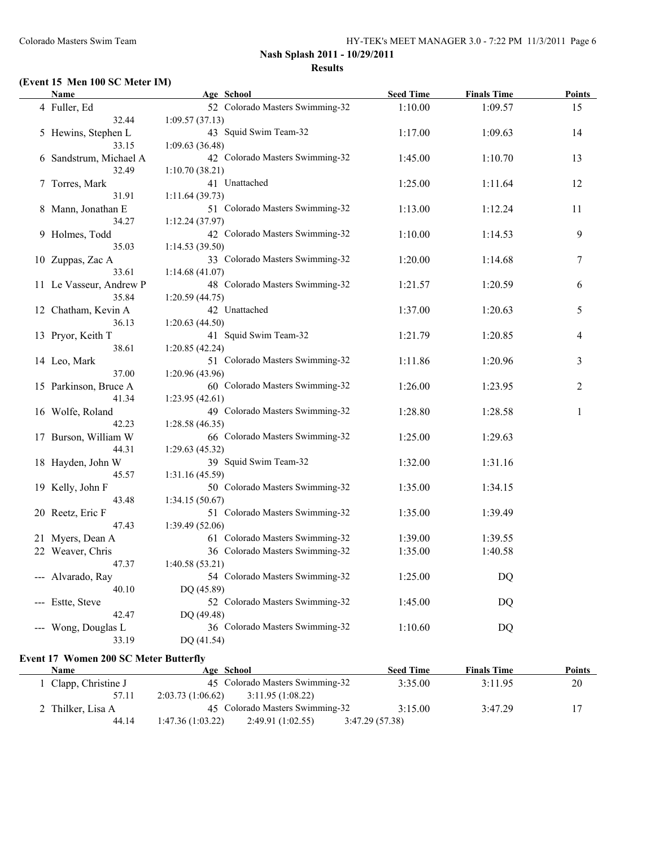# **(Event 15 Men 100 SC Meter IM)**

| Name                    | Age School                      | <b>Seed Time</b> | <b>Finals Time</b> | <b>Points</b>  |
|-------------------------|---------------------------------|------------------|--------------------|----------------|
| 4 Fuller, Ed            | 52 Colorado Masters Swimming-32 | 1:10.00          | 1:09.57            | 15             |
| 32.44                   | 1:09.57(37.13)                  |                  |                    |                |
| 5 Hewins, Stephen L     | 43 Squid Swim Team-32           | 1:17.00          | 1:09.63            | 14             |
| 33.15                   | 1:09.63(36.48)                  |                  |                    |                |
| 6 Sandstrum, Michael A  | 42 Colorado Masters Swimming-32 | 1:45.00          | 1:10.70            | 13             |
| 32.49                   | 1:10.70(38.21)                  |                  |                    |                |
| 7 Torres, Mark          | 41 Unattached                   | 1:25.00          | 1:11.64            | 12             |
| 31.91                   | 1:11.64(39.73)                  |                  |                    |                |
| 8 Mann, Jonathan E      | 51 Colorado Masters Swimming-32 | 1:13.00          | 1:12.24            | 11             |
| 34.27                   | 1:12.24(37.97)                  |                  |                    |                |
| 9 Holmes, Todd          | 42 Colorado Masters Swimming-32 | 1:10.00          | 1:14.53            | 9              |
| 35.03                   | 1:14.53(39.50)                  |                  |                    |                |
| 10 Zuppas, Zac A        | 33 Colorado Masters Swimming-32 | 1:20.00          | 1:14.68            | 7              |
| 33.61                   | 1:14.68(41.07)                  |                  |                    |                |
| 11 Le Vasseur, Andrew P | 48 Colorado Masters Swimming-32 | 1:21.57          | 1:20.59            | 6              |
| 35.84                   | 1:20.59(44.75)                  |                  |                    |                |
| 12 Chatham, Kevin A     | 42 Unattached                   | 1:37.00          | 1:20.63            | 5              |
| 36.13                   | 1:20.63(44.50)                  |                  |                    |                |
| 13 Pryor, Keith T       | 41 Squid Swim Team-32           | 1:21.79          | 1:20.85            | 4              |
| 38.61                   | 1:20.85(42.24)                  |                  |                    |                |
| 14 Leo, Mark            | 51 Colorado Masters Swimming-32 | 1:11.86          | 1:20.96            | 3              |
| 37.00                   | 1:20.96 (43.96)                 |                  |                    |                |
| 15 Parkinson, Bruce A   | 60 Colorado Masters Swimming-32 | 1:26.00          | 1:23.95            | $\overline{c}$ |
| 41.34                   | 1:23.95(42.61)                  |                  |                    |                |
| 16 Wolfe, Roland        | 49 Colorado Masters Swimming-32 | 1:28.80          | 1:28.58            | $\mathbf{1}$   |
| 42.23                   | 1:28.58(46.35)                  |                  |                    |                |
| 17 Burson, William W    | 66 Colorado Masters Swimming-32 | 1:25.00          | 1:29.63            |                |
| 44.31                   | 1:29.63(45.32)                  |                  |                    |                |
| 18 Hayden, John W       | 39 Squid Swim Team-32           | 1:32.00          | 1:31.16            |                |
| 45.57                   | 1:31.16 (45.59)                 |                  |                    |                |
| 19 Kelly, John F        | 50 Colorado Masters Swimming-32 | 1:35.00          | 1:34.15            |                |
| 43.48                   | 1:34.15(50.67)                  |                  |                    |                |
| 20 Reetz, Eric F        | 51 Colorado Masters Swimming-32 | 1:35.00          | 1:39.49            |                |
| 47.43                   | 1:39.49 (52.06)                 |                  |                    |                |
| 21 Myers, Dean A        | 61 Colorado Masters Swimming-32 | 1:39.00          | 1:39.55            |                |
| 22 Weaver, Chris        | 36 Colorado Masters Swimming-32 | 1:35.00          | 1:40.58            |                |
| 47.37                   | 1:40.58(53.21)                  |                  |                    |                |
| --- Alvarado, Ray       | 54 Colorado Masters Swimming-32 | 1:25.00          | DQ                 |                |
| 40.10                   | DQ (45.89)                      |                  |                    |                |
| --- Estte, Steve        | 52 Colorado Masters Swimming-32 | 1:45.00          | DQ                 |                |
| 42.47                   | DQ (49.48)                      |                  |                    |                |
| --- Wong, Douglas L     | 36 Colorado Masters Swimming-32 | 1:10.60          | DQ                 |                |
| 33.19                   | DQ (41.54)                      |                  |                    |                |
|                         |                                 |                  |                    |                |

#### **Event 17 Women 200 SC Meter Butterfly**

| Name                 | Age School                            | <b>Seed Time</b> | <b>Finals Time</b> | Points |
|----------------------|---------------------------------------|------------------|--------------------|--------|
| 1 Clapp, Christine J | 45 Colorado Masters Swimming-32       | 3:35.00          | 3:11.95            | 20     |
| 57.11                | 2:03.73(1:06.62)<br>3:11.95(1:08.22)  |                  |                    |        |
| 2 Thilker, Lisa A    | 45 Colorado Masters Swimming-32       | 3:15.00          | 3:47.29            |        |
| 44.14                | 2:49.91 (1:02.55)<br>1:47.36(1:03.22) | 3:47.29(57.38)   |                    |        |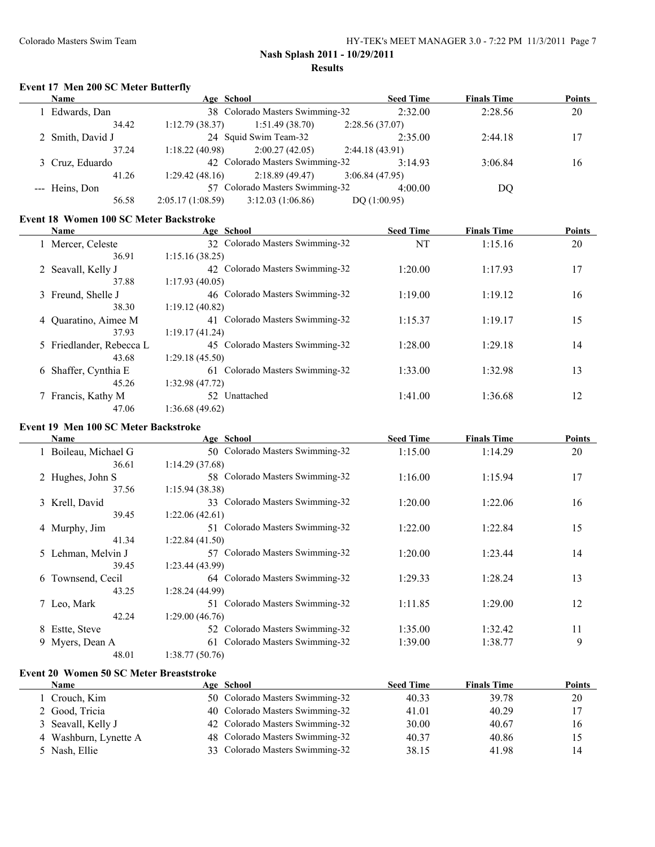$\mathbb{R}$ 

 $\overline{a}$ 

## **Nash Splash 2011 - 10/29/2011 Results**

#### **Event 17 Men 200 SC Meter Butterfly**

| <b>Name</b>      | Age School       |                                 |                | <b>Seed Time</b> | <b>Finals Time</b> | Points |
|------------------|------------------|---------------------------------|----------------|------------------|--------------------|--------|
| 1 Edwards, Dan   |                  | 38 Colorado Masters Swimming-32 |                | 2:32.00          | 2:28.56            | 20     |
| 34.42            | 1:12.79(38.37)   | 1:51.49(38.70)                  | 2:28.56(37.07) |                  |                    |        |
| 2 Smith, David J |                  | 24 Squid Swim Team-32           |                | 2:35.00          | 2:44.18            | 17     |
| 37.24            | 1:18.22(40.98)   | 2:00.27(42.05)                  | 2:44.18(43.91) |                  |                    |        |
| 3 Cruz, Eduardo  |                  | 42 Colorado Masters Swimming-32 |                | 3:14.93          | 3:06.84            | 16     |
| 41.26            | 1:29.42(48.16)   | 2:18.89(49.47)                  | 3:06.84(47.95) |                  |                    |        |
| --- Heins, Don   |                  | 57 Colorado Masters Swimming-32 |                | 4:00.00          | D <sub>O</sub>     |        |
| 56.58            | 2:05.17(1:08.59) | 3:12.03(1:06.86)                |                | DO(1:00.95)      |                    |        |

# **Event 18 Women 100 SC Meter Backstroke**

| Name                     | Age School                         | <b>Seed Time</b> | <b>Finals Time</b> | <b>Points</b> |
|--------------------------|------------------------------------|------------------|--------------------|---------------|
| 1 Mercer, Celeste        | 32 Colorado Masters Swimming-32    | NT               | 1:15.16            | 20            |
| 36.91                    | 1:15.16(38.25)                     |                  |                    |               |
| 2 Seavall, Kelly J       | 42 Colorado Masters Swimming-32    | 1:20.00          | 1:17.93            | 17            |
| 37.88                    | 1:17.93(40.05)                     |                  |                    |               |
| 3 Freund, Shelle J       | 46 Colorado Masters Swimming-32    | 1:19.00          | 1:19.12            | 16            |
| 38.30                    | 1:19.12(40.82)                     |                  |                    |               |
| 4 Quaratino, Aimee M     | 41 Colorado Masters Swimming-32    | 1:15.37          | 1:19.17            | 15            |
| 37.93                    | 1:19.17(41.24)                     |                  |                    |               |
| 5 Friedlander, Rebecca L | 45 Colorado Masters Swimming-32    | 1:28.00          | 1:29.18            | 14            |
| 43.68                    | 1:29.18(45.50)                     |                  |                    |               |
| 6 Shaffer, Cynthia E     | Colorado Masters Swimming-32<br>61 | 1:33.00          | 1:32.98            | 13            |
| 45.26                    | 1:32.98(47.72)                     |                  |                    |               |
| 7 Francis, Kathy M       | Unattached<br>52                   | 1:41.00          | 1:36.68            | 12            |
| 47.06                    | 1:36.68 (49.62)                    |                  |                    |               |

## **Event 19 Men 100 SC Meter Backstroke**

| Name                 | Age School                      | <b>Seed Time</b> | <b>Finals Time</b> | <b>Points</b> |
|----------------------|---------------------------------|------------------|--------------------|---------------|
| 1 Boileau, Michael G | 50 Colorado Masters Swimming-32 | 1:15.00          | 1:14.29            | 20            |
| 36.61                | 1:14.29(37.68)                  |                  |                    |               |
| 2 Hughes, John S     | 58 Colorado Masters Swimming-32 | 1:16.00          | 1:15.94            | 17            |
| 37.56                | 1:15.94(38.38)                  |                  |                    |               |
| 3 Krell, David       | 33 Colorado Masters Swimming-32 | 1:20.00          | 1:22.06            | 16            |
| 39.45                | 1:22.06(42.61)                  |                  |                    |               |
| 4 Murphy, Jim        | 51 Colorado Masters Swimming-32 | 1:22.00          | 1:22.84            | 15            |
| 41.34                | 1:22.84(41.50)                  |                  |                    |               |
| 5 Lehman, Melvin J   | 57 Colorado Masters Swimming-32 | 1:20.00          | 1:23.44            | 14            |
| 39.45                | 1:23.44(43.99)                  |                  |                    |               |
| Townsend, Cecil<br>6 | 64 Colorado Masters Swimming-32 | 1:29.33          | 1:28.24            | 13            |
| 43.25                | 1:28.24(44.99)                  |                  |                    |               |
| 7 Leo, Mark          | 51 Colorado Masters Swimming-32 | 1:11.85          | 1:29.00            | 12            |
| 42.24                | 1:29.00(46.76)                  |                  |                    |               |
| 8 Estte, Steve       | 52 Colorado Masters Swimming-32 | 1:35.00          | 1:32.42            | 11            |
| 9 Myers, Dean A      | 61 Colorado Masters Swimming-32 | 1:39.00          | 1:38.77            | 9             |
| 48.01                | 1:38.77(50.76)                  |                  |                    |               |

### **Event 20 Women 50 SC Meter Breaststroke**

| Name                  | Age School                      | <b>Seed Time</b> | <b>Finals Time</b> | <b>Points</b> |
|-----------------------|---------------------------------|------------------|--------------------|---------------|
| Crouch, Kim           | 50 Colorado Masters Swimming-32 | 40.33            | 39.78              | 20            |
| 2 Good, Tricia        | 40 Colorado Masters Swimming-32 | 41.01            | 40.29              | 17            |
| 3 Seavall, Kelly J    | 42 Colorado Masters Swimming-32 | 30.00            | 40.67              | 16            |
| 4 Washburn, Lynette A | 48 Colorado Masters Swimming-32 | 40.37            | 40.86              | 15            |
| 5 Nash, Ellie         | 33 Colorado Masters Swimming-32 | 38.15            | 41.98              | 14            |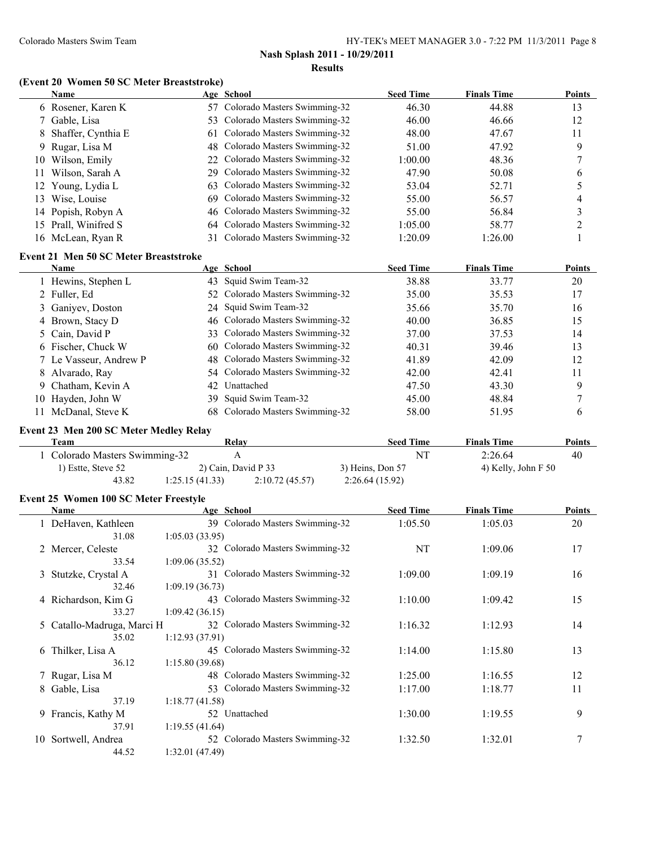#### **(Event 20 Women 50 SC Meter Breaststroke)**

|    | Name                 | Age School                      | <b>Seed Time</b> | <b>Finals Time</b> | Points |
|----|----------------------|---------------------------------|------------------|--------------------|--------|
|    | 6 Rosener, Karen K   | 57 Colorado Masters Swimming-32 | 46.30            | 44.88              | 13     |
|    | 7 Gable, Lisa        | 53 Colorado Masters Swimming-32 | 46.00            | 46.66              | 12     |
|    | 8 Shaffer, Cynthia E | 61 Colorado Masters Swimming-32 | 48.00            | 47.67              | 11     |
|    | 9 Rugar, Lisa M      | 48 Colorado Masters Swimming-32 | 51.00            | 47.92              | 9      |
| 10 | Wilson, Emily        | 22 Colorado Masters Swimming-32 | 1:00.00          | 48.36              |        |
| 11 | Wilson, Sarah A      | 29 Colorado Masters Swimming-32 | 47.90            | 50.08              | O      |
|    | 12 Young, Lydia L    | 63 Colorado Masters Swimming-32 | 53.04            | 52.71              |        |
| 13 | Wise, Louise         | 69 Colorado Masters Swimming-32 | 55.00            | 56.57              | 4      |
|    | 14 Popish, Robyn A   | 46 Colorado Masters Swimming-32 | 55.00            | 56.84              |        |
|    | 15 Prall, Winifred S | 64 Colorado Masters Swimming-32 | 1:05.00          | 58.77              |        |
|    | 16 McLean, Ryan R    | 31 Colorado Masters Swimming-32 | 1:20.09          | 1:26.00            |        |

## **Event 21 Men 50 SC Meter Breaststroke**

| <b>Name</b>            | Age School                      | <b>Seed Time</b> | <b>Finals Time</b> | <b>Points</b> |
|------------------------|---------------------------------|------------------|--------------------|---------------|
| 1 Hewins, Stephen L    | 43 Squid Swim Team-32           | 38.88            | 33.77              | 20            |
| 2 Fuller, Ed           | 52 Colorado Masters Swimming-32 | 35.00            | 35.53              | 17            |
| 3 Ganiyev, Doston      | 24 Squid Swim Team-32           | 35.66            | 35.70              | 16            |
| 4 Brown, Stacy D       | 46 Colorado Masters Swimming-32 | 40.00            | 36.85              | 15            |
| 5 Cain, David P        | 33 Colorado Masters Swimming-32 | 37.00            | 37.53              | 14            |
| 6 Fischer, Chuck W     | 60 Colorado Masters Swimming-32 | 40.31            | 39.46              | 13            |
| 7 Le Vasseur, Andrew P | 48 Colorado Masters Swimming-32 | 41.89            | 42.09              | 12            |
| 8 Alvarado, Ray        | 54 Colorado Masters Swimming-32 | 42.00            | 42.41              | 11            |
| 9 Chatham, Kevin A     | 42 Unattached                   | 47.50            | 43.30              | 9             |
| 10 Hayden, John W      | 39 Squid Swim Team-32           | 45.00            | 48.84              |               |
| 11 McDanal, Steve K    | 68 Colorado Masters Swimming-32 | 58.00            | 51.95              | 6             |

## **Event 23 Men 200 SC Meter Medley Relay**

| Team                         | Relav               |                |                      | <b>Finals Time</b>      | <b>Points</b> |
|------------------------------|---------------------|----------------|----------------------|-------------------------|---------------|
| Colorado Masters Swimming-32 |                     |                | NT                   | 2:26.64                 | 40            |
| 1) Estte, Steve 52           | 2) Cain, David P 33 |                | $3)$ Heins, Don $57$ | 4) Kelly, John $F_{15}$ |               |
| 43.82                        | 1:25.15(41.33)      | 2:10.72(45.57) | 2:26.64(15.92)       |                         |               |

## **Event 25 Women 100 SC Meter Freestyle**

|    | Name                       | Age School                      | <b>Seed Time</b> | <b>Finals Time</b> | Points |
|----|----------------------------|---------------------------------|------------------|--------------------|--------|
|    | 1 DeHaven, Kathleen        | 39 Colorado Masters Swimming-32 | 1:05.50          | 1:05.03            | 20     |
|    | 31.08                      | 1:05.03(33.95)                  |                  |                    |        |
|    | 2 Mercer, Celeste          | 32 Colorado Masters Swimming-32 | NT               | 1:09.06            | 17     |
|    | 33.54                      | 1:09.06(35.52)                  |                  |                    |        |
|    | 3 Stutzke, Crystal A       | 31 Colorado Masters Swimming-32 | 1:09.00          | 1:09.19            | 16     |
|    | 32.46                      | 1:09.19(36.73)                  |                  |                    |        |
|    | 4 Richardson, Kim G        | 43 Colorado Masters Swimming-32 | 1:10.00          | 1:09.42            | 15     |
|    | 33.27                      | 1:09.42(36.15)                  |                  |                    |        |
|    | 5 Catallo-Madruga, Marci H | 32 Colorado Masters Swimming-32 | 1:16.32          | 1:12.93            | 14     |
|    | 35.02                      | 1:12.93(37.91)                  |                  |                    |        |
|    | 6 Thilker, Lisa A          | 45 Colorado Masters Swimming-32 | 1:14.00          | 1:15.80            | 13     |
|    | 36.12                      | 1:15.80(39.68)                  |                  |                    |        |
|    | 7 Rugar, Lisa M            | 48 Colorado Masters Swimming-32 | 1:25.00          | 1:16.55            | 12     |
| 8. | Gable, Lisa                | 53 Colorado Masters Swimming-32 | 1:17.00          | 1:18.77            | 11     |
|    | 37.19                      | 1:18.77(41.58)                  |                  |                    |        |
|    | 9 Francis, Kathy M         | 52 Unattached                   | 1:30.00          | 1:19.55            | 9      |
|    | 37.91                      | 1:19.55(41.64)                  |                  |                    |        |
|    | 10 Sortwell, Andrea        | 52 Colorado Masters Swimming-32 | 1:32.50          | 1:32.01            | 7      |
|    | 44.52                      | 1:32.01 (47.49)                 |                  |                    |        |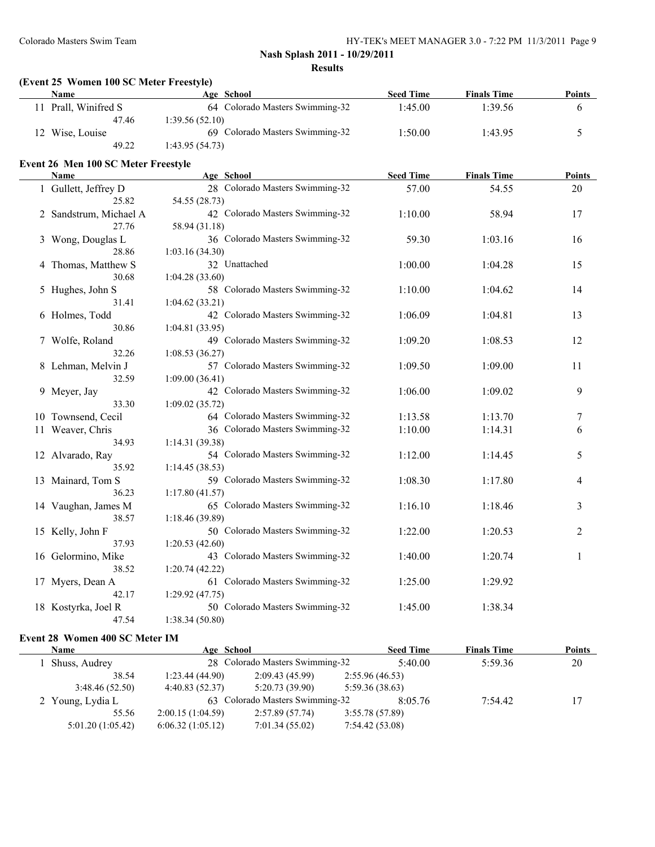## **(Event 25 Women 100 SC Meter Freestyle)**

| Name              | Age School                      | <b>Seed Time</b> | <b>Finals Time</b> | <b>Points</b> |
|-------------------|---------------------------------|------------------|--------------------|---------------|
| Prall, Winifred S | 64 Colorado Masters Swimming-32 | 1:45.00          | 1:39.56            |               |
| 47.46             | 1:39.56(52.10)                  |                  |                    |               |
| 12 Wise, Louise   | 69 Colorado Masters Swimming-32 | 1:50.00          | 1:43.95            |               |
| 49.22             | 1:43.95(54.73)                  |                  |                    |               |

#### **Event 26 Men 100 SC Meter Freestyle**

| Name                   | Age School                      | <b>Seed Time</b> | <b>Finals Time</b> | <b>Points</b>  |
|------------------------|---------------------------------|------------------|--------------------|----------------|
| 1 Gullett, Jeffrey D   | 28 Colorado Masters Swimming-32 | 57.00            | 54.55              | 20             |
| 25.82                  | 54.55 (28.73)                   |                  |                    |                |
| 2 Sandstrum, Michael A | 42 Colorado Masters Swimming-32 | 1:10.00          | 58.94              | 17             |
| 27.76                  | 58.94 (31.18)                   |                  |                    |                |
| 3 Wong, Douglas L      | 36 Colorado Masters Swimming-32 | 59.30            | 1:03.16            | 16             |
| 28.86                  | 1:03.16(34.30)                  |                  |                    |                |
| 4 Thomas, Matthew S    | 32 Unattached                   | 1:00.00          | 1:04.28            | 15             |
| 30.68                  | 1:04.28(33.60)                  |                  |                    |                |
| 5 Hughes, John S       | 58 Colorado Masters Swimming-32 | 1:10.00          | 1:04.62            | 14             |
| 31.41                  | 1:04.62(33.21)                  |                  |                    |                |
| 6 Holmes, Todd         | 42 Colorado Masters Swimming-32 | 1:06.09          | 1:04.81            | 13             |
| 30.86                  | 1:04.81(33.95)                  |                  |                    |                |
| 7 Wolfe, Roland        | 49 Colorado Masters Swimming-32 | 1:09.20          | 1:08.53            | 12             |
| 32.26                  | 1:08.53(36.27)                  |                  |                    |                |
| 8 Lehman, Melvin J     | 57 Colorado Masters Swimming-32 | 1:09.50          | 1:09.00            | 11             |
| 32.59                  | 1:09.00(36.41)                  |                  |                    |                |
| 9 Meyer, Jay           | 42 Colorado Masters Swimming-32 | 1:06.00          | 1:09.02            | 9              |
| 33.30                  | 1:09.02(35.72)                  |                  |                    |                |
| 10 Townsend, Cecil     | 64 Colorado Masters Swimming-32 | 1:13.58          | 1:13.70            | 7              |
| 11 Weaver, Chris       | 36 Colorado Masters Swimming-32 | 1:10.00          | 1:14.31            | 6              |
| 34.93                  | 1:14.31(39.38)                  |                  |                    |                |
| 12 Alvarado, Ray       | 54 Colorado Masters Swimming-32 | 1:12.00          | 1:14.45            | 5              |
| 35.92                  | 1:14.45(38.53)                  |                  |                    |                |
| 13 Mainard, Tom S      | 59 Colorado Masters Swimming-32 | 1:08.30          | 1:17.80            | 4              |
| 36.23                  | 1:17.80(41.57)                  |                  |                    |                |
| 14 Vaughan, James M    | 65 Colorado Masters Swimming-32 | 1:16.10          | 1:18.46            | 3              |
| 38.57                  | 1:18.46 (39.89)                 |                  |                    |                |
| 15 Kelly, John F       | 50 Colorado Masters Swimming-32 | 1:22.00          | 1:20.53            | $\overline{2}$ |
| 37.93                  | 1:20.53(42.60)                  |                  |                    |                |
| 16 Gelormino, Mike     | 43 Colorado Masters Swimming-32 | 1:40.00          | 1:20.74            | 1              |
| 38.52                  | 1:20.74(42.22)                  |                  |                    |                |
| 17 Myers, Dean A       | 61 Colorado Masters Swimming-32 | 1:25.00          | 1:29.92            |                |
| 42.17                  | 1:29.92(47.75)                  |                  |                    |                |
| 18 Kostyrka, Joel R    | 50 Colorado Masters Swimming-32 | 1:45.00          | 1:38.34            |                |
| 47.54                  | 1:38.34(50.80)                  |                  |                    |                |

#### **Event 28 Women 400 SC Meter IM**

| <b>Name</b>      | Age School       |                                 |                | <b>Seed Time</b> | <b>Finals Time</b> | <b>Points</b> |
|------------------|------------------|---------------------------------|----------------|------------------|--------------------|---------------|
| Shuss, Audrey    |                  | 28 Colorado Masters Swimming-32 |                | 5:40.00          | 5:59.36            | 20            |
| 38.54            | 1:23.44(44.90)   | 2:09.43(45.99)                  | 2:55.96(46.53) |                  |                    |               |
| 3:48.46(52.50)   | 4:40.83(52.37)   | 5:20.73(39.90)                  | 5:59.36(38.63) |                  |                    |               |
| 2 Young, Lydia L |                  | 63 Colorado Masters Swimming-32 |                | 8:05.76          | 7:54.42            | 17            |
| 55.56            | 2:00.15(1:04.59) | 2:57.89(57.74)                  | 3:55.78(57.89) |                  |                    |               |
| 5:01.20(1:05.42) | 6:06.32(1:05.12) | 7:01.34(55.02)                  | 7:54.42(53.08) |                  |                    |               |
|                  |                  |                                 |                |                  |                    |               |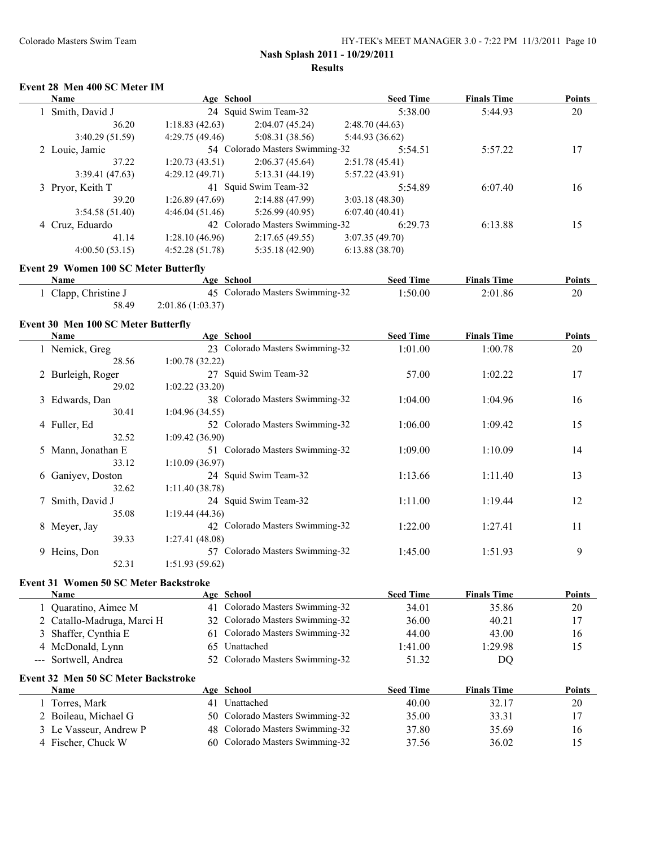#### **Event 28 Men 400 SC Meter IM**

| <b>Name</b>      | Age School     |                                 | <b>Seed Time</b> |         | <b>Finals Time</b> | <b>Points</b> |
|------------------|----------------|---------------------------------|------------------|---------|--------------------|---------------|
| 1 Smith, David J |                | 24 Squid Swim Team-32           |                  | 5:38.00 | 5:44.93            | 20            |
| 36.20            | 1:18.83(42.63) | 2:04.07(45.24)                  | 2:48.70(44.63)   |         |                    |               |
| 3:40.29(51.59)   | 4:29.75(49.46) | 5:08.31(38.56)                  | 5:44.93(36.62)   |         |                    |               |
| 2 Louie, Jamie   |                | 54 Colorado Masters Swimming-32 |                  | 5:54.51 | 5:57.22            | 17            |
| 37.22            | 1:20.73(43.51) | 2:06.37(45.64)                  | 2:51.78(45.41)   |         |                    |               |
| 3:39.41(47.63)   | 4:29.12(49.71) | 5:13.31(44.19)                  | 5:57.22(43.91)   |         |                    |               |
| 3 Pryor, Keith T |                | 41 Squid Swim Team-32           |                  | 5:54.89 | 6:07.40            | 16            |
| 39.20            | 1:26.89(47.69) | 2:14.88(47.99)                  | 3:03.18(48.30)   |         |                    |               |
| 3:54.58(51.40)   | 4:46.04(51.46) | 5:26.99(40.95)                  | 6:07.40(40.41)   |         |                    |               |
| 4 Cruz, Eduardo  |                | 42 Colorado Masters Swimming-32 |                  | 6:29.73 | 6:13.88            | 15            |
| 41.14            | 1:28.10(46.96) | 2:17.65(49.55)                  | 3:07.35(49.70)   |         |                    |               |
| 4:00.50(53.15)   | 4:52.28(51.78) | 5:35.18(42.90)                  | 6:13.88(38.70)   |         |                    |               |

#### **Event 29 Women 100 SC Meter Butterfly**

| <b>Name</b>        | Age School                      | <b>Seed Time</b> | <b>Finals Time</b> | Points |
|--------------------|---------------------------------|------------------|--------------------|--------|
| Clapp, Christine J | 45 Colorado Masters Swimming-32 | 1:50.00          | 2:01.86            | 20     |
| 58.49              | 2:01.86(1:03.37)                |                  |                    |        |

### **Event 30 Men 100 SC Meter Butterfly**

| Name               | Age School                      | <b>Seed Time</b> | <b>Finals Time</b> | <b>Points</b> |
|--------------------|---------------------------------|------------------|--------------------|---------------|
| 1 Nemick, Greg     | 23 Colorado Masters Swimming-32 | 1:01.00          | 1:00.78            | 20            |
| 28.56              | 1:00.78(32.22)                  |                  |                    |               |
| 2 Burleigh, Roger  | 27 Squid Swim Team-32           | 57.00            | 1:02.22            | 17            |
| 29.02              | 1:02.22(33.20)                  |                  |                    |               |
| 3 Edwards, Dan     | 38 Colorado Masters Swimming-32 | 1:04.00          | 1:04.96            | 16            |
| 30.41              | 1:04.96(34.55)                  |                  |                    |               |
| 4 Fuller, Ed       | 52 Colorado Masters Swimming-32 | 1:06.00          | 1:09.42            | 15            |
| 32.52              | 1:09.42(36.90)                  |                  |                    |               |
| 5 Mann, Jonathan E | 51 Colorado Masters Swimming-32 | 1:09.00          | 1:10.09            | 14            |
| 33.12              | 1:10.09(36.97)                  |                  |                    |               |
| 6 Ganiyev, Doston  | 24 Squid Swim Team-32           | 1:13.66          | 1:11.40            | 13            |
| 32.62              | 1:11.40(38.78)                  |                  |                    |               |
| 7 Smith, David J   | 24 Squid Swim Team-32           | 1:11.00          | 1:19.44            | 12            |
| 35.08              | 1:19.44(44.36)                  |                  |                    |               |
| 8 Meyer, Jay       | 42 Colorado Masters Swimming-32 | 1:22.00          | 1:27.41            | 11            |
| 39.33              | 1:27.41(48.08)                  |                  |                    |               |
| 9 Heins, Don       | 57 Colorado Masters Swimming-32 | 1:45.00          | 1:51.93            | 9             |
| 52.31              | 1:51.93(59.62)                  |                  |                    |               |

## **Event 31 Women 50 SC Meter Backstroke**

| <b>Name</b>                | Age School                      | <b>Seed Time</b> | <b>Finals Time</b> | <b>Points</b> |
|----------------------------|---------------------------------|------------------|--------------------|---------------|
| Quaratino, Aimee M         | 41 Colorado Masters Swimming-32 | 34.01            | 35.86              | 20            |
| 2 Catallo-Madruga, Marci H | 32 Colorado Masters Swimming-32 | 36.00            | 40.21              |               |
| 3 Shaffer, Cynthia E       | 61 Colorado Masters Swimming-32 | 44.00            | 43.00              | 16            |
| 4 McDonald, Lynn           | 65 Unattached                   | 1:41.00          | 1:29.98            | 15            |
| --- Sortwell, Andrea       | 52 Colorado Masters Swimming-32 | 51.32            | DO                 |               |

#### **Event 32 Men 50 SC Meter Backstroke**

| Name                   | Age School                      | <b>Seed Time</b> | <b>Finals Time</b> | <b>Points</b> |
|------------------------|---------------------------------|------------------|--------------------|---------------|
| Torres, Mark           | 41 Unattached                   | 40.00            | 32.17              | 20            |
| 2 Boileau, Michael G   | 50 Colorado Masters Swimming-32 | 35.00            | 33.31              |               |
| 3 Le Vasseur, Andrew P | 48 Colorado Masters Swimming-32 | 37.80            | 35.69              | 16            |
| 4 Fischer, Chuck W     | 60 Colorado Masters Swimming-32 | 37.56            | 36.02              | 15            |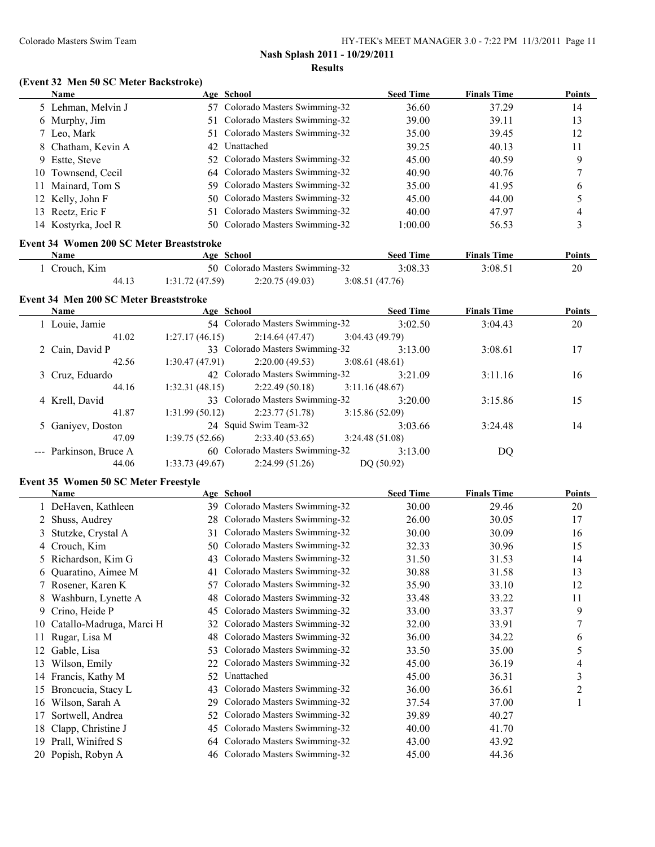#### **(Event 32 Men 50 SC Meter Backstroke)**

|    | <b>Name</b>                              |  | Age School                      | <b>Seed Time</b> | <b>Finals Time</b> | <b>Points</b> |  |  |  |
|----|------------------------------------------|--|---------------------------------|------------------|--------------------|---------------|--|--|--|
|    | 5 Lehman, Melvin J                       |  | 57 Colorado Masters Swimming-32 | 36.60            | 37.29              | 14            |  |  |  |
|    | 6 Murphy, Jim                            |  | 51 Colorado Masters Swimming-32 | 39.00            | 39.11              | 13            |  |  |  |
|    | 7 Leo, Mark                              |  | 51 Colorado Masters Swimming-32 | 35.00            | 39.45              | 12            |  |  |  |
|    | 8 Chatham, Kevin A                       |  | 42 Unattached                   | 39.25            | 40.13              | 11            |  |  |  |
|    | 9 Estte, Steve                           |  | 52 Colorado Masters Swimming-32 | 45.00            | 40.59              | 9             |  |  |  |
|    | 10 Townsend, Cecil                       |  | 64 Colorado Masters Swimming-32 | 40.90            | 40.76              |               |  |  |  |
| 11 | Mainard, Tom S                           |  | 59 Colorado Masters Swimming-32 | 35.00            | 41.95              | 6             |  |  |  |
|    | 12 Kelly, John F                         |  | 50 Colorado Masters Swimming-32 | 45.00            | 44.00              |               |  |  |  |
|    | 13 Reetz, Eric F                         |  | 51 Colorado Masters Swimming-32 | 40.00            | 47.97              | 4             |  |  |  |
|    | 14 Kostyrka, Joel R                      |  | 50 Colorado Masters Swimming-32 | 1:00.00          | 56.53              |               |  |  |  |
|    | Event 34 Women 200 SC Meter Breaststroke |  |                                 |                  |                    |               |  |  |  |

| Name        | Age School     |                                 | <b>Seed Time</b> | <b>Finals Time</b> | Points |
|-------------|----------------|---------------------------------|------------------|--------------------|--------|
| Crouch. Kim |                | 50 Colorado Masters Swimming-32 | 3:08.33          | 3:08.51            | 20     |
| 44.13       | 1:31.72(47.59) | 2:20.75 (49.03)                 | 3:08.51(47.76)   |                    |        |

#### **Event 34 Men 200 SC Meter Breaststroke**

| <b>Name</b>            | Age School     |                                 | <b>Seed Time</b> | <b>Finals Time</b> | <b>Points</b> |
|------------------------|----------------|---------------------------------|------------------|--------------------|---------------|
| 1 Louie, Jamie         |                | 54 Colorado Masters Swimming-32 | 3:02.50          | 3:04.43            | 20            |
| 41.02                  | 1:27.17(46.15) | 2:14.64 (47.47)                 | 3:04.43(49.79)   |                    |               |
| 2 Cain, David P        |                | 33 Colorado Masters Swimming-32 | 3:13.00          | 3:08.61            | 17            |
| 42.56                  | 1:30.47(47.91) | 2:20.00(49.53)                  | 3:08.61(48.61)   |                    |               |
| 3 Cruz, Eduardo        |                | 42 Colorado Masters Swimming-32 | 3:21.09          | 3:11.16            | 16            |
| 44.16                  | 1:32.31(48.15) | 2:22.49(50.18)                  | 3:11.16(48.67)   |                    |               |
| 4 Krell, David         |                | 33 Colorado Masters Swimming-32 | 3:20.00          | 3:15.86            | 15            |
| 41.87                  | 1:31.99(50.12) | 2:23.77(51.78)                  | 3:15.86(52.09)   |                    |               |
| 5 Ganiyev, Doston      |                | 24 Squid Swim Team-32           | 3:03.66          | 3:24.48            | 14            |
| 47.09                  | 1:39.75(52.66) | 2:33.40(53.65)                  | 3:24.48(51.08)   |                    |               |
| --- Parkinson, Bruce A |                | 60 Colorado Masters Swimming-32 | 3:13.00          | DQ                 |               |
| 44.06                  | 1:33.73(49.67) | 2:24.99(51.26)                  | DO(50.92)        |                    |               |
|                        |                |                                 |                  |                    |               |

## **Event 35 Women 50 SC Meter Freestyle**

|    | Name                     |     | Age School                      | <b>Seed Time</b> | <b>Finals Time</b> | Points |
|----|--------------------------|-----|---------------------------------|------------------|--------------------|--------|
|    | DeHaven, Kathleen        | 39  | Colorado Masters Swimming-32    | 30.00            | 29.46              | 20     |
| 2  | Shuss, Audrey            | 28  | Colorado Masters Swimming-32    | 26.00            | 30.05              | 17     |
| 3  | Stutzke, Crystal A       | 31  | Colorado Masters Swimming-32    | 30.00            | 30.09              | 16     |
|    | 4 Crouch, Kim            | 50. | Colorado Masters Swimming-32    | 32.33            | 30.96              | 15     |
|    | 5 Richardson, Kim G      | 43  | Colorado Masters Swimming-32    | 31.50            | 31.53              | 14     |
|    | 6 Quaratino, Aimee M     | 41  | Colorado Masters Swimming-32    | 30.88            | 31.58              | 13     |
|    | 7 Rosener, Karen K       | 57  | Colorado Masters Swimming-32    | 35.90            | 33.10              | 12     |
| 8. | Washburn, Lynette A      | 48  | Colorado Masters Swimming-32    | 33.48            | 33.22              | 11     |
| 9. | Crino, Heide P           | 45  | Colorado Masters Swimming-32    | 33.00            | 33.37              | 9      |
| 10 | Catallo-Madruga, Marci H | 32  | Colorado Masters Swimming-32    | 32.00            | 33.91              |        |
|    | Rugar, Lisa M            | 48  | Colorado Masters Swimming-32    | 36.00            | 34.22              | 6      |
| 12 | Gable, Lisa              | 53  | Colorado Masters Swimming-32    | 33.50            | 35.00              | 5      |
| 13 | Wilson, Emily            |     | Colorado Masters Swimming-32    | 45.00            | 36.19              | 4      |
| 14 | Francis, Kathy M         | 52  | Unattached                      | 45.00            | 36.31              | 3      |
| 15 | Broncucia, Stacy L       | 43  | Colorado Masters Swimming-32    | 36.00            | 36.61              | 2      |
| 16 | Wilson, Sarah A          | 29  | Colorado Masters Swimming-32    | 37.54            | 37.00              |        |
| 17 | Sortwell, Andrea         | 52  | Colorado Masters Swimming-32    | 39.89            | 40.27              |        |
| 18 | Clapp, Christine J       | 45  | Colorado Masters Swimming-32    | 40.00            | 41.70              |        |
| 19 | Prall, Winifred S        | 64  | Colorado Masters Swimming-32    | 43.00            | 43.92              |        |
|    | 20 Popish, Robyn A       |     | 46 Colorado Masters Swimming-32 | 45.00            | 44.36              |        |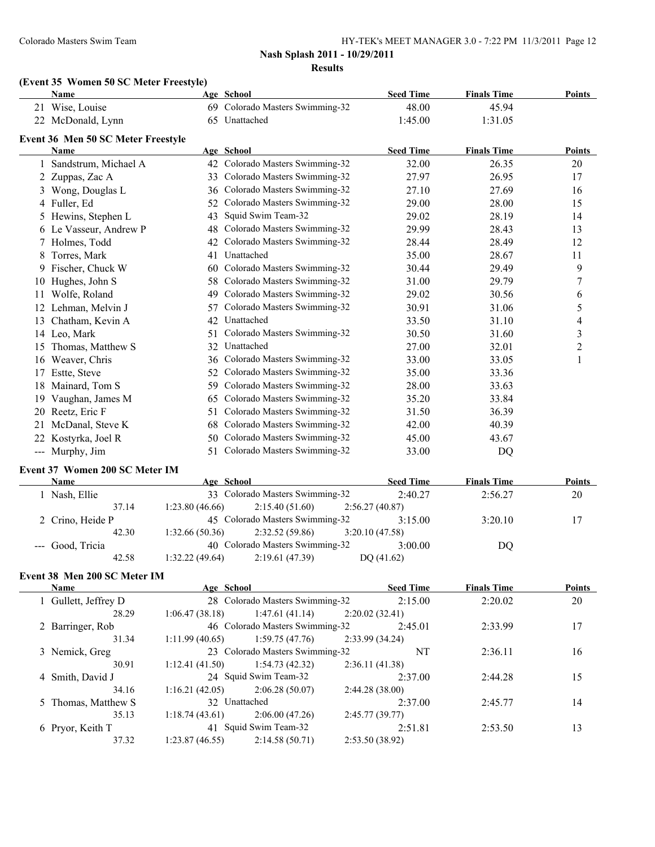# **(Event 35 Women 50 SC Meter Freestyle)**

|                     | <b>Name</b>                        |     | Age School                   | <b>Seed Time</b> | <b>Finals Time</b> | <b>Points</b> |
|---------------------|------------------------------------|-----|------------------------------|------------------|--------------------|---------------|
|                     | 21 Wise, Louise                    | 69  | Colorado Masters Swimming-32 | 48.00            | 45.94              |               |
| 22                  | McDonald, Lynn                     | 65  | Unattached                   | 1:45.00          | 1:31.05            |               |
|                     | Event 36 Men 50 SC Meter Freestyle |     |                              |                  |                    |               |
|                     | <b>Name</b>                        |     | Age School                   | <b>Seed Time</b> | <b>Finals Time</b> | <b>Points</b> |
|                     | Sandstrum, Michael A               | 42  | Colorado Masters Swimming-32 | 32.00            | 26.35              | 20            |
|                     | Zuppas, Zac A                      | 33  | Colorado Masters Swimming-32 | 27.97            | 26.95              | 17            |
| 3                   | Wong, Douglas L                    | 36  | Colorado Masters Swimming-32 | 27.10            | 27.69              | 16            |
|                     | 4 Fuller, Ed                       | 52  | Colorado Masters Swimming-32 | 29.00            | 28.00              | 15            |
| 5.                  | Hewins, Stephen L                  | 43  | Squid Swim Team-32           | 29.02            | 28.19              | 14            |
| 6                   | Le Vasseur, Andrew P               | 48  | Colorado Masters Swimming-32 | 29.99            | 28.43              | 13            |
|                     | Holmes, Todd                       | 42  | Colorado Masters Swimming-32 | 28.44            | 28.49              | 12            |
|                     | Torres, Mark                       | 41  | Unattached                   | 35.00            | 28.67              | 11            |
| 9                   | Fischer, Chuck W                   | 60  | Colorado Masters Swimming-32 | 30.44            | 29.49              | 9             |
| 10                  | Hughes, John S                     | 58  | Colorado Masters Swimming-32 | 31.00            | 29.79              | 7             |
| 11                  | Wolfe, Roland                      | 49  | Colorado Masters Swimming-32 | 29.02            | 30.56              | 6             |
| 12                  | Lehman, Melvin J                   | 57  | Colorado Masters Swimming-32 | 30.91            | 31.06              | 5             |
| 13                  | Chatham, Kevin A                   | 42  | Unattached                   | 33.50            | 31.10              | 4             |
| 14                  | Leo, Mark                          | 51. | Colorado Masters Swimming-32 | 30.50            | 31.60              | 3             |
| 15                  | Thomas, Matthew S                  | 32  | Unattached                   | 27.00            | 32.01              | 2             |
| 16                  | Weaver, Chris                      | 36  | Colorado Masters Swimming-32 | 33.00            | 33.05              | 1             |
| 17                  | Estte, Steve                       | 52  | Colorado Masters Swimming-32 | 35.00            | 33.36              |               |
| 18                  | Mainard, Tom S                     | 59  | Colorado Masters Swimming-32 | 28.00            | 33.63              |               |
| 19                  | Vaughan, James M                   | 65  | Colorado Masters Swimming-32 | 35.20            | 33.84              |               |
| 20                  | Reetz, Eric F                      | 51  | Colorado Masters Swimming-32 | 31.50            | 36.39              |               |
| 21                  | McDanal, Steve K                   | 68  | Colorado Masters Swimming-32 | 42.00            | 40.39              |               |
| 22                  | Kostyrka, Joel R                   | 50  | Colorado Masters Swimming-32 | 45.00            | 43.67              |               |
| $\qquad \qquad - -$ | Murphy, Jim                        | 51  | Colorado Masters Swimming-32 | 33.00            | DQ                 |               |

## **Event 37 Women 200 SC Meter IM**

| <b>Name</b>      | Age School     |                                   | <b>Seed Time</b> | <b>Finals Time</b> | <b>Points</b> |
|------------------|----------------|-----------------------------------|------------------|--------------------|---------------|
| Nash, Ellie      |                | 33 Colorado Masters Swimming-32   | 2:40.27          | 2:56.27            | 20            |
| 37.14            | 1:23.80(46.66) | $2:15.40(51.60)$ $2:56.27(40.87)$ |                  |                    |               |
| 2 Crino, Heide P |                | 45 Colorado Masters Swimming-32   | 3.1500           | 3:20.10            |               |
| 42.30            | 1:32.66(50.36) | 2:32.52 (59.86)                   | 3:20.10(47.58)   |                    |               |
| --- Good, Tricia |                | 40 Colorado Masters Swimming-32   | 3.0000           | DO                 |               |
| 42.58            | 1:32.22(49.64) | 2:19.61 (47.39)                   | DQ(41.62)        |                    |               |

# **Event 38 Men 200 SC Meter IM**

| Age School                       | <b>Seed Time</b> | <b>Finals Time</b>                                                                                    | <b>Points</b> |
|----------------------------------|------------------|-------------------------------------------------------------------------------------------------------|---------------|
|                                  | 2:15.00          | 2:20.02                                                                                               | 20            |
| 1:47.61(41.14)<br>1:06.47(38.18) | 2:20.02(32.41)   |                                                                                                       |               |
|                                  | 2:45.01          | 2:33.99                                                                                               | 17            |
| 1:59.75(47.76)<br>1:11.99(40.65) | 2:33.99(34.24)   |                                                                                                       |               |
|                                  | NT               | 2:36.11                                                                                               | 16            |
| 1:54.73(42.32)<br>1:12.41(41.50) | 2:36.11(41.38)   |                                                                                                       |               |
| 24 Squid Swim Team-32            | 2:37.00          | 2:44.28                                                                                               | 15            |
| 2:06.28(50.07)<br>1:16.21(42.05) | 2:44.28(38.00)   |                                                                                                       |               |
| 32 Unattached                    | 2:37.00          | 2:45.77                                                                                               | 14            |
| 1:18.74(43.61)<br>2:06.00(47.26) | 2:45.77(39.77)   |                                                                                                       |               |
| 41 Squid Swim Team-32            | 2:51.81          | 2:53.50                                                                                               | 13            |
| 2:14.58(50.71)<br>1:23.87(46.55) | 2:53.50(38.92)   |                                                                                                       |               |
|                                  |                  | 28 Colorado Masters Swimming-32<br>46 Colorado Masters Swimming-32<br>23 Colorado Masters Swimming-32 |               |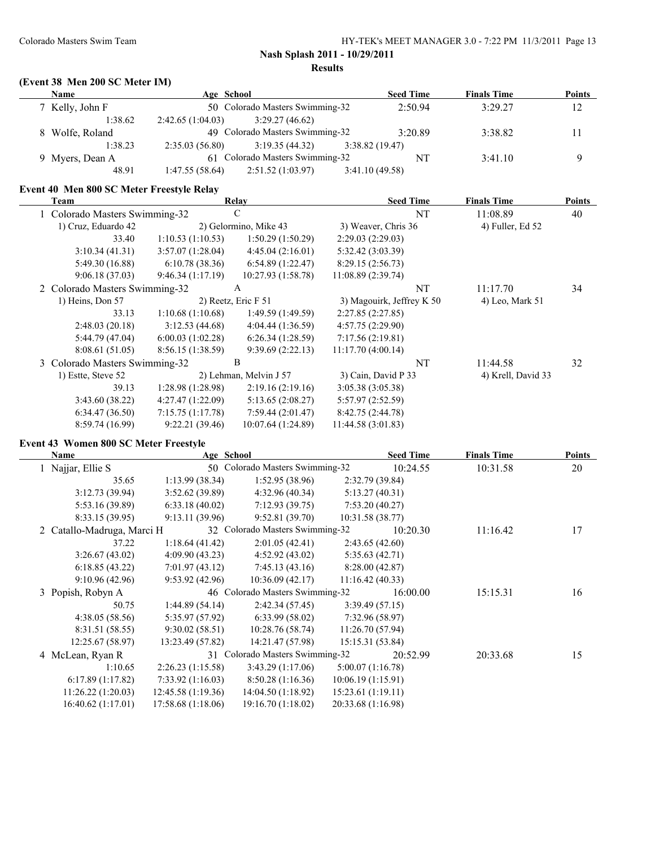## **(Event 38 Men 200 SC Meter IM)**

| <b>Name</b>     | Age School       |                                                                                                                                                               | <b>Finals Time</b>                                                         | <b>Points</b> |
|-----------------|------------------|---------------------------------------------------------------------------------------------------------------------------------------------------------------|----------------------------------------------------------------------------|---------------|
| 7 Kelly, John F |                  |                                                                                                                                                               | 3:29.27                                                                    | 12            |
| 1:38.62         | 2:42.65(1:04.03) |                                                                                                                                                               |                                                                            |               |
| 8 Wolfe, Roland |                  |                                                                                                                                                               | 3:38.82                                                                    |               |
| 1:38.23         | 2:35.03(56.80)   |                                                                                                                                                               |                                                                            |               |
| 9 Myers, Dean A |                  | NT                                                                                                                                                            | 3:41.10                                                                    | Q             |
| 48.91           | 1:47.55(58.64)   |                                                                                                                                                               |                                                                            |               |
|                 |                  | 50 Colorado Masters Swimming-32<br>3:29.27(46.62)<br>49 Colorado Masters Swimming-32<br>3:19.35(44.32)<br>61 Colorado Masters Swimming-32<br>2:51.52(1:03.97) | <b>Seed Time</b><br>2:50.94<br>3:20.89<br>3:38.82(19.47)<br>3:41.10(49.58) |               |

## **Event 40 Men 800 SC Meter Freestyle Relay**

| Team                           | Relay                 |                        | <b>Seed Time</b>          | <b>Finals Time</b> | <b>Points</b> |
|--------------------------------|-----------------------|------------------------|---------------------------|--------------------|---------------|
| 1 Colorado Masters Swimming-32 |                       | C                      | NT                        | 11:08.89           | 40            |
| 1) Cruz, Eduardo 42            | 2) Gelormino, Mike 43 |                        | 3) Weaver, Chris 36       | 4) Fuller, Ed 52   |               |
| 33.40                          | 1:10.53(1:10.53)      | 1:50.29(1:50.29)       | 2:29.03(2:29.03)          |                    |               |
| 3:10.34(41.31)                 | 3:57.07(1:28.04)      | 4:45.04(2:16.01)       | 5:32.42(3:03.39)          |                    |               |
| 5:49.30(16.88)                 | 6:10.78(38.36)        | 6:54.89(1:22.47)       | 8:29.15(2:56.73)          |                    |               |
| 9:06.18(37.03)                 | 9:46.34(1:17.19)      | 10:27.93(1:58.78)      | 11:08.89(2:39.74)         |                    |               |
| 2 Colorado Masters Swimming-32 |                       | A                      | NT                        | 11:17.70           | 34            |
| 1) Heins, Don 57               |                       | 2) Reetz, Eric $F$ 51  | 3) Magouirk, Jeffrey K 50 | 4) Leo, Mark 51    |               |
| 33.13                          | 1:10.68(1:10.68)      | 1:49.59(1:49.59)       | 2:27.85(2:27.85)          |                    |               |
| 2:48.03(20.18)                 | 3:12.53(44.68)        | 4:04.44(1:36.59)       | 4:57.75(2:29.90)          |                    |               |
| 5:44.79(47.04)                 | 6:00.03(1:02.28)      | 6:26.34(1:28.59)       | 7:17.56(2:19.81)          |                    |               |
| 8:08.61(51.05)                 | 8:56.15(1:38.59)      | 9:39.69(2:22.13)       | 11:17.70(4:00.14)         |                    |               |
| 3 Colorado Masters Swimming-32 |                       | B                      | NT                        | 11:44.58           | 32            |
| 1) Estte, Steve 52             |                       | 2) Lehman, Melvin J 57 | 3) Cain, David P 33       | 4) Krell, David 33 |               |
| 39.13                          | 1:28.98(1:28.98)      | 2:19.16(2:19.16)       | 3:05.38(3:05.38)          |                    |               |
| 3:43.60(38.22)                 | 4:27.47(1:22.09)      | 5:13.65(2:08.27)       | 5:57.97 (2:52.59)         |                    |               |
| 6:34.47(36.50)                 | 7:15.75(1:17.78)      | 7:59.44(2:01.47)       | 8:42.75 (2:44.78)         |                    |               |
| 8:59.74 (16.99)                | 9:22.21(39.46)        | 10:07.64 (1:24.89)     | 11:44.58(3:01.83)         |                    |               |
|                                |                       |                        |                           |                    |               |

## **Event 43 Women 800 SC Meter Freestyle**

| Name                       | Age School        |                                 |                    | <b>Seed Time</b> | <b>Finals Time</b> | <b>Points</b> |
|----------------------------|-------------------|---------------------------------|--------------------|------------------|--------------------|---------------|
| 1 Najjar, Ellie S          |                   | 50 Colorado Masters Swimming-32 |                    | 10:24.55         | 10:31.58           | 20            |
| 35.65                      | 1:13.99(38.34)    | 1:52.95(38.96)                  | 2:32.79(39.84)     |                  |                    |               |
| 3:12.73(39.94)             | 3:52.62(39.89)    | 4:32.96(40.34)                  | 5:13.27(40.31)     |                  |                    |               |
| 5:53.16 (39.89)            | 6:33.18(40.02)    | 7:12.93(39.75)                  | 7:53.20(40.27)     |                  |                    |               |
| 8:33.15(39.95)             | 9:13.11(39.96)    | 9:52.81(39.70)                  | 10:31.58 (38.77)   |                  |                    |               |
| 2 Catallo-Madruga, Marci H |                   | 32 Colorado Masters Swimming-32 |                    | 10:20.30         | 11:16.42           | 17            |
| 37.22                      | 1:18.64(41.42)    | 2:01.05(42.41)                  | 2:43.65(42.60)     |                  |                    |               |
| 3:26.67(43.02)             | 4:09.90(43.23)    | 4:52.92(43.02)                  | 5:35.63(42.71)     |                  |                    |               |
| 6:18.85(43.22)             | 7:01.97(43.12)    | 7:45.13(43.16)                  | 8:28.00(42.87)     |                  |                    |               |
| 9:10.96(42.96)             | 9:53.92(42.96)    | 10:36.09(42.17)                 | 11:16.42(40.33)    |                  |                    |               |
| 3 Popish, Robyn A          |                   | 46 Colorado Masters Swimming-32 |                    | 16:00.00         | 15:15.31           | 16            |
| 50.75                      | 1:44.89(54.14)    | 2:42.34(57.45)                  | 3:39.49(57.15)     |                  |                    |               |
| 4:38.05(58.56)             | 5:35.97 (57.92)   | 6:33.99(58.02)                  | 7:32.96(58.97)     |                  |                    |               |
| 8:31.51 (58.55)            | 9:30.02(58.51)    | 10:28.76(58.74)                 | 11:26.70(57.94)    |                  |                    |               |
| 12:25.67(58.97)            | 13:23.49 (57.82)  | 14:21.47 (57.98)                | 15:15.31 (53.84)   |                  |                    |               |
| 4 McLean, Ryan R           |                   | 31 Colorado Masters Swimming-32 |                    | 20:52.99         | 20:33.68           | 15            |
| 1:10.65                    | 2:26.23(1:15.58)  | 3:43.29(1:17.06)                | 5:00.07(1:16.78)   |                  |                    |               |
| 6:17.89(1:17.82)           | 7:33.92(1:16.03)  | 8:50.28(1:16.36)                | 10:06.19 (1:15.91) |                  |                    |               |
| 11:26.22(1:20.03)          | 12:45.58(1:19.36) | 14:04.50(1:18.92)               | 15:23.61(1:19.11)  |                  |                    |               |
| 16:40.62(1:17.01)          | 17:58.68(1:18.06) | 19:16.70(1:18.02)               | 20:33.68 (1:16.98) |                  |                    |               |
|                            |                   |                                 |                    |                  |                    |               |